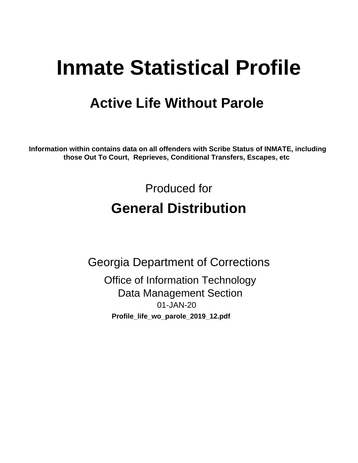# **Inmate Statistical Profile**

## **Active Life Without Parole**

Information within contains data on all offenders with Scribe Status of INMATE, including those Out To Court, Reprieves, Conditional Transfers, Escapes, etc

> Produced for **General Distribution**

**Georgia Department of Corrections Office of Information Technology Data Management Section** 01-JAN-20 Profile\_life\_wo\_parole\_2019\_12.pdf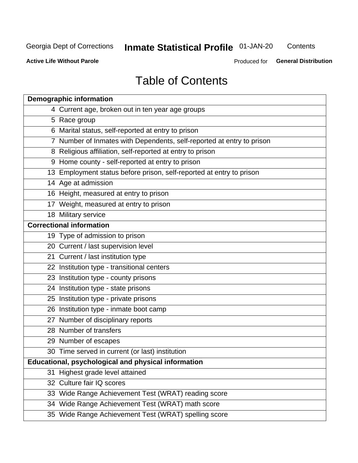## **Inmate Statistical Profile 01-JAN-20**

Contents

**Active Life Without Parole** 

Produced for General Distribution

## **Table of Contents**

|    | <b>Demographic information</b>                                        |
|----|-----------------------------------------------------------------------|
|    | 4 Current age, broken out in ten year age groups                      |
|    | 5 Race group                                                          |
|    | 6 Marital status, self-reported at entry to prison                    |
|    | 7 Number of Inmates with Dependents, self-reported at entry to prison |
|    | 8 Religious affiliation, self-reported at entry to prison             |
|    | 9 Home county - self-reported at entry to prison                      |
|    | 13 Employment status before prison, self-reported at entry to prison  |
|    | 14 Age at admission                                                   |
|    | 16 Height, measured at entry to prison                                |
|    | 17 Weight, measured at entry to prison                                |
|    | 18 Military service                                                   |
|    | <b>Correctional information</b>                                       |
|    | 19 Type of admission to prison                                        |
|    | 20 Current / last supervision level                                   |
|    | 21 Current / last institution type                                    |
|    | 22 Institution type - transitional centers                            |
|    | 23 Institution type - county prisons                                  |
|    | 24 Institution type - state prisons                                   |
|    | 25 Institution type - private prisons                                 |
|    | 26 Institution type - inmate boot camp                                |
|    | 27 Number of disciplinary reports                                     |
|    | 28 Number of transfers                                                |
|    | 29 Number of escapes                                                  |
|    | 30 Time served in current (or last) institution                       |
|    | Educational, psychological and physical information                   |
| 31 | Highest grade level attained                                          |
|    | 32 Culture fair IQ scores                                             |
|    | 33 Wide Range Achievement Test (WRAT) reading score                   |
|    | 34 Wide Range Achievement Test (WRAT) math score                      |
|    | 35 Wide Range Achievement Test (WRAT) spelling score                  |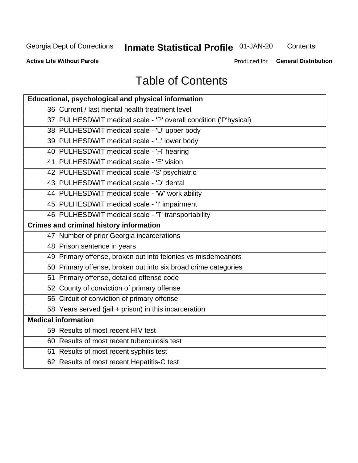## **Inmate Statistical Profile 01-JAN-20**

Contents

**Active Life Without Parole** 

Produced for General Distribution

## **Table of Contents**

| Educational, psychological and physical information              |
|------------------------------------------------------------------|
| 36 Current / last mental health treatment level                  |
| 37 PULHESDWIT medical scale - 'P' overall condition ('P'hysical) |
| 38 PULHESDWIT medical scale - 'U' upper body                     |
| 39 PULHESDWIT medical scale - 'L' lower body                     |
| 40 PULHESDWIT medical scale - 'H' hearing                        |
| 41 PULHESDWIT medical scale - 'E' vision                         |
| 42 PULHESDWIT medical scale -'S' psychiatric                     |
| 43 PULHESDWIT medical scale - 'D' dental                         |
| 44 PULHESDWIT medical scale - 'W' work ability                   |
| 45 PULHESDWIT medical scale - 'I' impairment                     |
| 46 PULHESDWIT medical scale - 'T' transportability               |
| <b>Crimes and criminal history information</b>                   |
| 47 Number of prior Georgia incarcerations                        |
| 48 Prison sentence in years                                      |
| 49 Primary offense, broken out into felonies vs misdemeanors     |
| 50 Primary offense, broken out into six broad crime categories   |
| 51 Primary offense, detailed offense code                        |
| 52 County of conviction of primary offense                       |
| 56 Circuit of conviction of primary offense                      |
| 58 Years served (jail + prison) in this incarceration            |
| <b>Medical information</b>                                       |
| 59 Results of most recent HIV test                               |
| 60 Results of most recent tuberculosis test                      |
| 61 Results of most recent syphilis test                          |
| 62 Results of most recent Hepatitis-C test                       |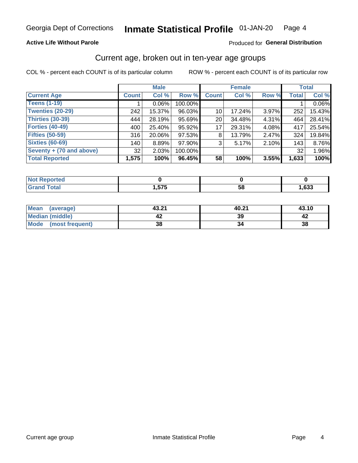### **Active Life Without Parole**

### Produced for General Distribution

### Current age, broken out in ten-year age groups

COL % - percent each COUNT is of its particular column

|                          |                 | <b>Male</b> |         |                 | <b>Female</b> |          |              | <b>Total</b> |
|--------------------------|-----------------|-------------|---------|-----------------|---------------|----------|--------------|--------------|
| <b>Current Age</b>       | <b>Count</b>    | Col %       | Row %   | <b>Count</b>    | Col %         | Row %    | <b>Total</b> | Col %        |
| <b>Teens (1-19)</b>      |                 | $0.06\%$    | 100.00% |                 |               |          |              | 0.06%        |
| <b>Twenties (20-29)</b>  | 242             | 15.37%      | 96.03%  | 10 <sup>1</sup> | 17.24%        | $3.97\%$ | 252          | 15.43%       |
| Thirties (30-39)         | 444             | 28.19%      | 95.69%  | 20 <sub>1</sub> | 34.48%        | 4.31%    | 464          | 28.41%       |
| <b>Forties (40-49)</b>   | 400             | 25.40%      | 95.92%  | 17              | 29.31%        | 4.08%    | 417          | 25.54%       |
| <b>Fifties (50-59)</b>   | 316             | 20.06%      | 97.53%  | 8               | 13.79%        | 2.47%    | 324          | 19.84%       |
| <b>Sixties (60-69)</b>   | 140             | 8.89%       | 97.90%  | 3               | 5.17%         | 2.10%    | 143          | 8.76%        |
| Seventy + (70 and above) | 32 <sup>1</sup> | 2.03%       | 100.00% |                 |               |          | 32           | 1.96%        |
| <b>Total Reported</b>    | 1,575           | 100%        | 96.45%  | 58              | 100%          | 3.55%    | 1,633        | 100%         |

| 'Not Reported |                       |    |      |
|---------------|-----------------------|----|------|
| <b>Total</b>  | 長支長<br>. <del>.</del> | 58 | ,633 |

| <b>Mean</b><br>(average) | 43.21 | 40.21 | 43.10 |
|--------------------------|-------|-------|-------|
| Median (middle)          |       | 39    |       |
| Mode<br>(most frequent)  | 38    |       | 38    |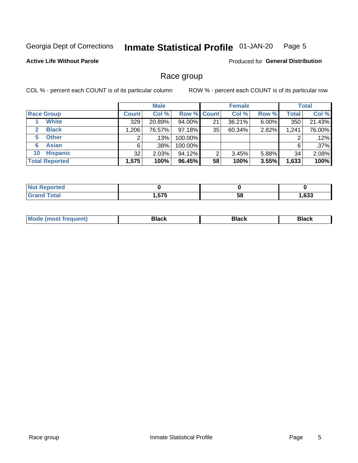#### **Inmate Statistical Profile 01-JAN-20** Page 5

### **Active Life Without Parole**

Produced for General Distribution

### Race group

COL % - percent each COUNT is of its particular column

|                              | <b>Male</b>  |         |                    | <b>Female</b> |        |          | <b>Total</b> |        |
|------------------------------|--------------|---------|--------------------|---------------|--------|----------|--------------|--------|
| <b>Race Group</b>            | <b>Count</b> | Col %   | <b>Row % Count</b> |               | Col %  | Row %    | <b>Total</b> | Col %  |
| <b>White</b>                 | 329          | 20.89%  | 94.00%             | 21            | 36.21% | $6.00\%$ | 350          | 21.43% |
| <b>Black</b><br>$\mathbf{2}$ | 1,206        | 76.57%  | 97.18%             | 35            | 60.34% | 2.82%    | 1,241        | 76.00% |
| <b>Other</b><br>5.           |              | $.13\%$ | 100.00%            |               |        |          | 2            | .12%   |
| <b>Asian</b><br>6            | 6            | .38%    | 100.00%            |               |        |          | 6            | .37%   |
| <b>Hispanic</b><br>10        | 32           | 2.03%   | 94.12%             | 2             | 3.45%  | 5.88%    | 34           | 2.08%  |
| <b>Total Reported</b>        | 1,575        | 100%    | 96.45%             | 58            | 100%   | 3.55%    | 1,633        | 100%   |

| <b>rted</b>           |     |    |      |
|-----------------------|-----|----|------|
| $f \wedge f \wedge f$ | ETE | 58 | ,633 |

| –•••• |  | M |  |  |  |
|-------|--|---|--|--|--|
|-------|--|---|--|--|--|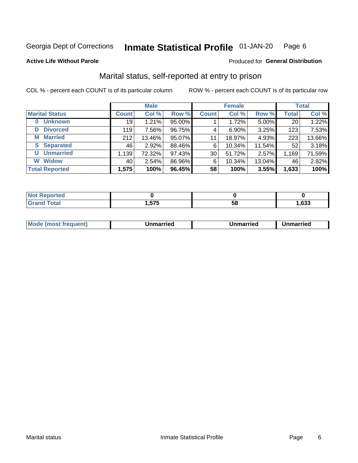#### **Inmate Statistical Profile 01-JAN-20** Page 6

**Active Life Without Parole** 

### Produced for General Distribution

## Marital status, self-reported at entry to prison

COL % - percent each COUNT is of its particular column

| <b>Male</b>                |              |        |        | <b>Female</b> | <b>Total</b> |        |              |        |
|----------------------------|--------------|--------|--------|---------------|--------------|--------|--------------|--------|
| <b>Marital Status</b>      | <b>Count</b> | Col %  | Row %  | <b>Count</b>  | Col %        | Row %  | <b>Total</b> | Col %  |
| <b>Unknown</b><br>$\bf{0}$ | 19           | 1.21%  | 95.00% |               | 1.72%        | 5.00%  | 20           | 1.22%  |
| <b>Divorced</b><br>D       | 119          | 7.56%  | 96.75% | 4             | $6.90\%$     | 3.25%  | 123          | 7.53%  |
| <b>Married</b><br>М        | 212          | 13.46% | 95.07% | 11            | 18.97%       | 4.93%  | 223          | 13.66% |
| <b>Separated</b><br>S.     | 46           | 2.92%  | 88.46% | 6             | 10.34%       | 11.54% | 52           | 3.18%  |
| <b>Unmarried</b><br>U      | 1,139        | 72.32% | 97.43% | 30            | 51.72%       | 2.57%  | 1,169        | 71.59% |
| <b>Widow</b><br>W          | 40           | 2.54%  | 86.96% | 6             | 10.34%       | 13.04% | 46           | 2.82%  |
| <b>Total Reported</b>      | 1,575        | 100%   | 96.45% | 58            | 100%         | 3.55%  | 1,633        | 100%   |

| orted<br>NOT<br>$\cdots$ |              |    |      |
|--------------------------|--------------|----|------|
| $F$ atal<br><b>Oldi</b>  | ETE<br>J 1 J | ЭO | ,633 |

|  | M | . | Unmarried | າmarried<br>_____ |
|--|---|---|-----------|-------------------|
|--|---|---|-----------|-------------------|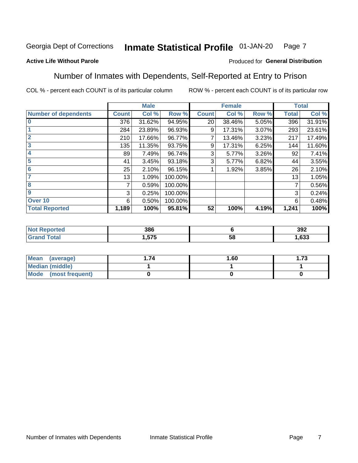#### Inmate Statistical Profile 01-JAN-20 Page 7

### **Active Life Without Parole**

### Produced for General Distribution

### Number of Inmates with Dependents, Self-Reported at Entry to Prison

COL % - percent each COUNT is of its particular column

|                             |              | <b>Male</b> |         |              | <b>Female</b> |       |              | <b>Total</b> |
|-----------------------------|--------------|-------------|---------|--------------|---------------|-------|--------------|--------------|
| <b>Number of dependents</b> | <b>Count</b> | Col %       | Row %   | <b>Count</b> | Col %         | Row % | <b>Total</b> | Col %        |
| $\bf{0}$                    | 376          | 31.62%      | 94.95%  | 20           | 38.46%        | 5.05% | 396          | 31.91%       |
|                             | 284          | 23.89%      | 96.93%  | 9            | 17.31%        | 3.07% | 293          | 23.61%       |
| $\overline{2}$              | 210          | 17.66%      | 96.77%  |              | 13.46%        | 3.23% | 217          | 17.49%       |
| 3                           | 135          | 11.35%      | 93.75%  | 9            | 17.31%        | 6.25% | 144          | 11.60%       |
| 4                           | 89           | 7.49%       | 96.74%  | 3            | 5.77%         | 3.26% | 92           | 7.41%        |
| 5                           | 41           | 3.45%       | 93.18%  | 3            | 5.77%         | 6.82% | 44           | 3.55%        |
| $6\phantom{1}6$             | 25           | 2.10%       | 96.15%  |              | 1.92%         | 3.85% | 26           | 2.10%        |
| 7                           | 13           | 1.09%       | 100.00% |              |               |       | 13           | 1.05%        |
| 8                           | 7            | 0.59%       | 100.00% |              |               |       | 7            | 0.56%        |
| 9                           | 3            | 0.25%       | 100.00% |              |               |       | 3            | 0.24%        |
| Over 10                     | 6            | 0.50%       | 100.00% |              |               |       | 6            | 0.48%        |
| <b>Total Reported</b>       | 1,189        | 100%        | 95.81%  | 52           | 100%          | 4.19% | 1,241        | 100%         |

| 386               |          | 392  |
|-------------------|----------|------|
| ---<br>75 J J<br> | . .<br>◡ | .633 |

| <b>Mean</b><br>(average) | 1.60 | - 72<br>I. I J |
|--------------------------|------|----------------|
| Median (middle)          |      |                |
| Mode<br>(most frequent)  |      |                |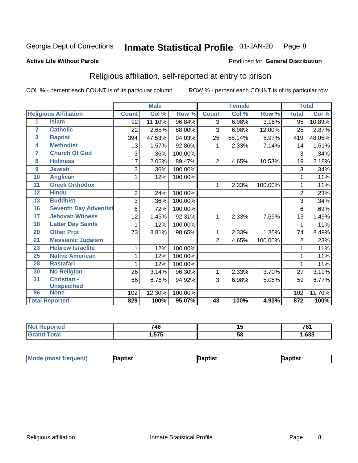#### **Inmate Statistical Profile 01-JAN-20** Page 8

#### **Active Life Without Parole**

#### Produced for General Distribution

## Religious affiliation, self-reported at entry to prison

COL % - percent each COUNT is of its particular column

|                         |                              |                | <b>Male</b> |         | <b>Female</b>  |        |         | <b>Total</b>   |        |
|-------------------------|------------------------------|----------------|-------------|---------|----------------|--------|---------|----------------|--------|
|                         | <b>Religious Affiliation</b> | <b>Count</b>   | Col %       | Row %   | <b>Count</b>   | Col %  | Row %   | <b>Total</b>   | Col %  |
| 1                       | <b>Islam</b>                 | 92             | 11.10%      | 96.84%  | 3              | 6.98%  | 3.16%   | 95             | 10.89% |
| $\overline{2}$          | <b>Catholic</b>              | 22             | 2.65%       | 88.00%  | 3              | 6.98%  | 12.00%  | 25             | 2.87%  |
| $\overline{\mathbf{3}}$ | <b>Baptist</b>               | 394            | 47.53%      | 94.03%  | 25             | 58.14% | 5.97%   | 419            | 48.05% |
| 4                       | <b>Methodist</b>             | 13             | 1.57%       | 92.86%  | 1              | 2.33%  | 7.14%   | 14             | 1.61%  |
| 7                       | <b>Church Of God</b>         | 3              | .36%        | 100.00% |                |        |         | 3              | .34%   |
| 8                       | <b>Holiness</b>              | 17             | 2.05%       | 89.47%  | $\overline{2}$ | 4.65%  | 10.53%  | 19             | 2.18%  |
| $\overline{9}$          | <b>Jewish</b>                | 3              | .36%        | 100.00% |                |        |         | 3              | .34%   |
| 10                      | <b>Anglican</b>              | 1              | .12%        | 100.00% |                |        |         |                | .11%   |
| 11                      | <b>Greek Orthodox</b>        |                |             |         | 1              | 2.33%  | 100.00% |                | .11%   |
| 12                      | <b>Hindu</b>                 | $\overline{2}$ | .24%        | 100.00% |                |        |         | $\overline{2}$ | .23%   |
| 13                      | <b>Buddhist</b>              | 3              | .36%        | 100.00% |                |        |         | 3              | .34%   |
| 16                      | <b>Seventh Day Adventist</b> | 6              | .72%        | 100.00% |                |        |         | 6              | .69%   |
| $\overline{17}$         | <b>Jehovah Witness</b>       | 12             | 1.45%       | 92.31%  | 1              | 2.33%  | 7.69%   | 13             | 1.49%  |
| 18                      | <b>Latter Day Saints</b>     | 1              | .12%        | 100.00% |                |        |         |                | .11%   |
| 20                      | <b>Other Prot</b>            | 73             | 8.81%       | 98.65%  | 1              | 2.33%  | 1.35%   | 74             | 8.49%  |
| $\overline{21}$         | <b>Messianic Judaism</b>     |                |             |         | $\overline{2}$ | 4.65%  | 100.00% | $\overline{2}$ | .23%   |
| 23                      | <b>Hebrew Israelite</b>      | 1              | .12%        | 100.00% |                |        |         |                | .11%   |
| 25                      | <b>Native American</b>       | 1              | .12%        | 100.00% |                |        |         |                | .11%   |
| 28                      | <b>Rastafari</b>             | 1              | .12%        | 100.00% |                |        |         | 1              | .11%   |
| 30                      | <b>No Religion</b>           | 26             | 3.14%       | 96.30%  | 1              | 2.33%  | 3.70%   | 27             | 3.10%  |
| 31                      | Christian -                  | 56             | 6.76%       | 94.92%  | 3              | 6.98%  | 5.08%   | 59             | 6.77%  |
|                         | <b>Unspecified</b>           |                |             |         |                |        |         |                |        |
| 96                      | <b>None</b>                  | 102            | 12.30%      | 100.00% |                |        |         | 102            | 11.70% |
|                         | <b>Total Reported</b>        | 829            | 100%        | 95.07%  | 43             | 100%   | 4.93%   | 872            | 100%   |

| re o | 710<br>4v       | . .<br>.,      | 704           |
|------|-----------------|----------------|---------------|
|      | <b>E75</b><br>. | . .<br>6Р<br>◡ | $\sim$<br>ნათ |

| Mode (most frequ<br>aptist<br>Nuent) | ˈaɒtist | ʿaptis |
|--------------------------------------|---------|--------|
|--------------------------------------|---------|--------|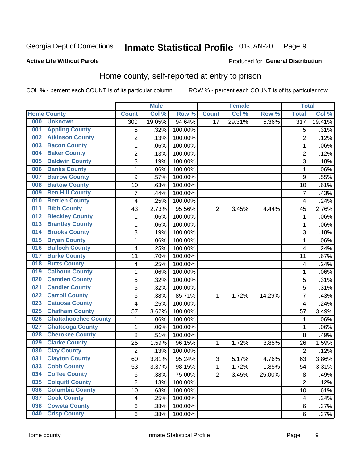#### Inmate Statistical Profile 01-JAN-20 Page 9

#### **Active Life Without Parole**

### Produced for General Distribution

## Home county, self-reported at entry to prison

COL % - percent each COUNT is of its particular column

|     |                             |                | <b>Male</b> |                  |                 | <b>Female</b> |        | <b>Total</b>     |        |
|-----|-----------------------------|----------------|-------------|------------------|-----------------|---------------|--------|------------------|--------|
|     | <b>Home County</b>          | <b>Count</b>   | Col %       | Row <sup>%</sup> | <b>Count</b>    | Col %         | Row %  | <b>Total</b>     | Col %  |
| 000 | <b>Unknown</b>              | 300            | 19.05%      | 94.64%           | $\overline{17}$ | 29.31%        | 5.36%  | $\overline{317}$ | 19.41% |
| 001 | <b>Appling County</b>       | 5              | .32%        | 100.00%          |                 |               |        | 5                | .31%   |
| 002 | <b>Atkinson County</b>      | $\overline{2}$ | .13%        | 100.00%          |                 |               |        | $\overline{2}$   | .12%   |
| 003 | <b>Bacon County</b>         | 1              | .06%        | 100.00%          |                 |               |        | 1                | .06%   |
| 004 | <b>Baker County</b>         | $\overline{2}$ | .13%        | 100.00%          |                 |               |        | $\overline{2}$   | .12%   |
| 005 | <b>Baldwin County</b>       | 3              | .19%        | 100.00%          |                 |               |        | 3                | .18%   |
| 006 | <b>Banks County</b>         | $\mathbf 1$    | .06%        | 100.00%          |                 |               |        | 1                | .06%   |
| 007 | <b>Barrow County</b>        | 9              | .57%        | 100.00%          |                 |               |        | 9                | .55%   |
| 008 | <b>Bartow County</b>        | 10             | .63%        | 100.00%          |                 |               |        | 10               | .61%   |
| 009 | <b>Ben Hill County</b>      | 7              | .44%        | 100.00%          |                 |               |        | 7                | .43%   |
| 010 | <b>Berrien County</b>       | 4              | .25%        | 100.00%          |                 |               |        | 4                | .24%   |
| 011 | <b>Bibb County</b>          | 43             | 2.73%       | 95.56%           | $\overline{2}$  | 3.45%         | 4.44%  | 45               | 2.76%  |
| 012 | <b>Bleckley County</b>      | 1              | .06%        | 100.00%          |                 |               |        | 1                | .06%   |
| 013 | <b>Brantley County</b>      | $\mathbf 1$    | .06%        | 100.00%          |                 |               |        | 1                | .06%   |
| 014 | <b>Brooks County</b>        | 3              | .19%        | 100.00%          |                 |               |        | 3                | .18%   |
| 015 | <b>Bryan County</b>         | 1              | .06%        | 100.00%          |                 |               |        | 1                | .06%   |
| 016 | <b>Bulloch County</b>       | 4              | .25%        | 100.00%          |                 |               |        | 4                | .24%   |
| 017 | <b>Burke County</b>         | 11             | .70%        | 100.00%          |                 |               |        | 11               | .67%   |
| 018 | <b>Butts County</b>         | 4              | .25%        | 100.00%          |                 |               |        | 4                | .24%   |
| 019 | <b>Calhoun County</b>       | 1              | .06%        | 100.00%          |                 |               |        | 1                | .06%   |
| 020 | <b>Camden County</b>        | 5              | .32%        | 100.00%          |                 |               |        | 5                | .31%   |
| 021 | <b>Candler County</b>       | 5              | .32%        | 100.00%          |                 |               |        | 5                | .31%   |
| 022 | <b>Carroll County</b>       | 6              | .38%        | 85.71%           | 1               | 1.72%         | 14.29% | 7                | .43%   |
| 023 | <b>Catoosa County</b>       | 4              | .25%        | 100.00%          |                 |               |        | 4                | .24%   |
| 025 | <b>Chatham County</b>       | 57             | 3.62%       | 100.00%          |                 |               |        | 57               | 3.49%  |
| 026 | <b>Chattahoochee County</b> | 1              | .06%        | 100.00%          |                 |               |        | 1                | .06%   |
| 027 | <b>Chattooga County</b>     | $\mathbf 1$    | .06%        | 100.00%          |                 |               |        | 1                | .06%   |
| 028 | <b>Cherokee County</b>      | 8              | .51%        | 100.00%          |                 |               |        | 8                | .49%   |
| 029 | <b>Clarke County</b>        | 25             | 1.59%       | 96.15%           | 1               | 1.72%         | 3.85%  | 26               | 1.59%  |
| 030 | <b>Clay County</b>          | $\overline{2}$ | .13%        | 100.00%          |                 |               |        | $\overline{2}$   | .12%   |
| 031 | <b>Clayton County</b>       | 60             | 3.81%       | 95.24%           | 3               | 5.17%         | 4.76%  | 63               | 3.86%  |
| 033 | <b>Cobb County</b>          | 53             | 3.37%       | 98.15%           | 1               | 1.72%         | 1.85%  | 54               | 3.31%  |
| 034 | <b>Coffee County</b>        | 6              | .38%        | 75.00%           | $\overline{2}$  | 3.45%         | 25.00% | 8                | .49%   |
| 035 | <b>Colquitt County</b>      | $\overline{2}$ | .13%        | 100.00%          |                 |               |        | $\overline{2}$   | .12%   |
| 036 | <b>Columbia County</b>      | 10             | .63%        | 100.00%          |                 |               |        | 10               | .61%   |
| 037 | <b>Cook County</b>          | 4              | .25%        | 100.00%          |                 |               |        | 4                | .24%   |
| 038 | <b>Coweta County</b>        | 6              | .38%        | 100.00%          |                 |               |        | 6                | .37%   |
| 040 | <b>Crisp County</b>         | 6              | .38%        | 100.00%          |                 |               |        | 6                | .37%   |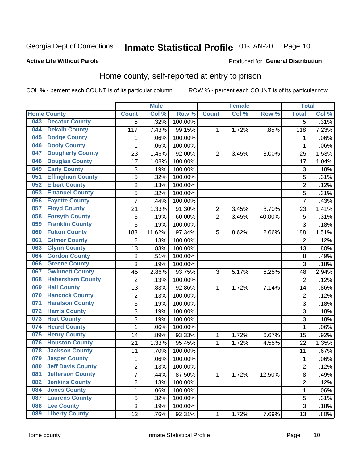#### **Inmate Statistical Profile 01-JAN-20** Page 10

#### **Active Life Without Parole**

### Produced for General Distribution

## Home county, self-reported at entry to prison

COL % - percent each COUNT is of its particular column

|     |                          |                         | <b>Male</b> |         |                | <b>Female</b> |        | <b>Total</b>   |        |
|-----|--------------------------|-------------------------|-------------|---------|----------------|---------------|--------|----------------|--------|
|     | <b>Home County</b>       | <b>Count</b>            | Col %       | Row %   | <b>Count</b>   | Col %         | Row %  | <b>Total</b>   | Col %  |
| 043 | <b>Decatur County</b>    | 5                       | .32%        | 100.00% |                |               |        | 5              | .31%   |
| 044 | <b>Dekalb County</b>     | 117                     | 7.43%       | 99.15%  | 1              | 1.72%         | .85%   | 118            | 7.23%  |
| 045 | <b>Dodge County</b>      | 1                       | .06%        | 100.00% |                |               |        | 1              | .06%   |
| 046 | <b>Dooly County</b>      | $\mathbf 1$             | .06%        | 100.00% |                |               |        | 1              | .06%   |
| 047 | <b>Dougherty County</b>  | 23                      | 1.46%       | 92.00%  | $\overline{2}$ | 3.45%         | 8.00%  | 25             | 1.53%  |
| 048 | <b>Douglas County</b>    | 17                      | 1.08%       | 100.00% |                |               |        | 17             | 1.04%  |
| 049 | <b>Early County</b>      | 3                       | .19%        | 100.00% |                |               |        | 3              | .18%   |
| 051 | <b>Effingham County</b>  | 5                       | .32%        | 100.00% |                |               |        | 5              | .31%   |
| 052 | <b>Elbert County</b>     | $\overline{\mathbf{c}}$ | .13%        | 100.00% |                |               |        | $\overline{2}$ | .12%   |
| 053 | <b>Emanuel County</b>    | 5                       | .32%        | 100.00% |                |               |        | 5              | .31%   |
| 056 | <b>Fayette County</b>    | $\overline{7}$          | .44%        | 100.00% |                |               |        | 7              | .43%   |
| 057 | <b>Floyd County</b>      | 21                      | 1.33%       | 91.30%  | $\overline{2}$ | 3.45%         | 8.70%  | 23             | 1.41%  |
| 058 | <b>Forsyth County</b>    | 3                       | .19%        | 60.00%  | $\overline{2}$ | 3.45%         | 40.00% | 5              | .31%   |
| 059 | <b>Franklin County</b>   | 3                       | .19%        | 100.00% |                |               |        | 3              | .18%   |
| 060 | <b>Fulton County</b>     | 183                     | 11.62%      | 97.34%  | 5              | 8.62%         | 2.66%  | 188            | 11.51% |
| 061 | <b>Gilmer County</b>     | $\overline{2}$          | .13%        | 100.00% |                |               |        | $\overline{2}$ | .12%   |
| 063 | <b>Glynn County</b>      | 13                      | .83%        | 100.00% |                |               |        | 13             | .80%   |
| 064 | <b>Gordon County</b>     | 8                       | .51%        | 100.00% |                |               |        | 8              | .49%   |
| 066 | <b>Greene County</b>     | 3                       | .19%        | 100.00% |                |               |        | 3              | .18%   |
| 067 | <b>Gwinnett County</b>   | 45                      | 2.86%       | 93.75%  | 3              | 5.17%         | 6.25%  | 48             | 2.94%  |
| 068 | <b>Habersham County</b>  | $\overline{c}$          | .13%        | 100.00% |                |               |        | $\overline{2}$ | .12%   |
| 069 | <b>Hall County</b>       | 13                      | .83%        | 92.86%  | 1              | 1.72%         | 7.14%  | 14             | .86%   |
| 070 | <b>Hancock County</b>    | 2                       | .13%        | 100.00% |                |               |        | $\overline{2}$ | .12%   |
| 071 | <b>Haralson County</b>   | 3                       | .19%        | 100.00% |                |               |        | 3              | .18%   |
| 072 | <b>Harris County</b>     | 3                       | .19%        | 100.00% |                |               |        | 3              | .18%   |
| 073 | <b>Hart County</b>       | 3                       | .19%        | 100.00% |                |               |        | 3              | .18%   |
| 074 | <b>Heard County</b>      | 1                       | .06%        | 100.00% |                |               |        | 1              | .06%   |
| 075 | <b>Henry County</b>      | 14                      | .89%        | 93.33%  | 1              | 1.72%         | 6.67%  | 15             | .92%   |
| 076 | <b>Houston County</b>    | 21                      | 1.33%       | 95.45%  | 1              | 1.72%         | 4.55%  | 22             | 1.35%  |
| 078 | <b>Jackson County</b>    | 11                      | .70%        | 100.00% |                |               |        | 11             | .67%   |
| 079 | <b>Jasper County</b>     | $\mathbf{1}$            | .06%        | 100.00% |                |               |        | 1              | .06%   |
| 080 | <b>Jeff Davis County</b> | $\overline{\mathbf{c}}$ | .13%        | 100.00% |                |               |        | $\overline{c}$ | .12%   |
| 081 | <b>Jefferson County</b>  | $\overline{7}$          | .44%        | 87.50%  | $\mathbf{1}$   | 1.72%         | 12.50% | 8              | .49%   |
| 082 | <b>Jenkins County</b>    | $\overline{c}$          | .13%        | 100.00% |                |               |        | $\overline{c}$ | .12%   |
| 084 | <b>Jones County</b>      | $\mathbf{1}$            | .06%        | 100.00% |                |               |        | 1              | .06%   |
| 087 | <b>Laurens County</b>    | 5                       | .32%        | 100.00% |                |               |        | 5              | .31%   |
| 088 | <b>Lee County</b>        | 3                       | .19%        | 100.00% |                |               |        | $\overline{3}$ | .18%   |
| 089 | <b>Liberty County</b>    | 12                      | .76%        | 92.31%  | 1              | 1.72%         | 7.69%  | 13             | .80%   |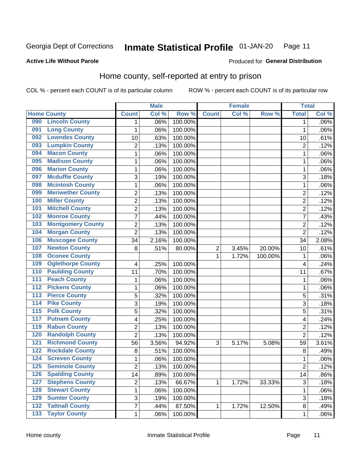#### **Inmate Statistical Profile 01-JAN-20** Page 11

#### **Active Life Without Parole**

### Produced for General Distribution

## Home county, self-reported at entry to prison

COL % - percent each COUNT is of its particular column

|                  |                          |                           | <b>Male</b> |         | <b>Female</b>  |       | <b>Total</b> |                         |         |
|------------------|--------------------------|---------------------------|-------------|---------|----------------|-------|--------------|-------------------------|---------|
|                  | <b>Home County</b>       | <b>Count</b>              | Col %       | Row %   | <b>Count</b>   | Col % | Row %        | <b>Total</b>            | Col %   |
| 090              | <b>Lincoln County</b>    | 1                         | .06%        | 100.00% |                |       |              | 1                       | .06%    |
| 091              | <b>Long County</b>       | 1                         | .06%        | 100.00% |                |       |              | 1                       | $.06\%$ |
| 092              | <b>Lowndes County</b>    | 10                        | .63%        | 100.00% |                |       |              | 10                      | .61%    |
| 093              | <b>Lumpkin County</b>    | $\overline{2}$            | .13%        | 100.00% |                |       |              | $\overline{2}$          | .12%    |
| 094              | <b>Macon County</b>      | $\mathbf 1$               | .06%        | 100.00% |                |       |              | 1                       | .06%    |
| 095              | <b>Madison County</b>    | $\mathbf 1$               | .06%        | 100.00% |                |       |              | 1                       | .06%    |
| 096              | <b>Marion County</b>     | $\mathbf 1$               | .06%        | 100.00% |                |       |              | 1                       | .06%    |
| 097              | <b>Mcduffie County</b>   | $\ensuremath{\mathsf{3}}$ | .19%        | 100.00% |                |       |              | 3                       | .18%    |
| 098              | <b>Mcintosh County</b>   | $\mathbf 1$               | .06%        | 100.00% |                |       |              | 1                       | .06%    |
| 099              | <b>Meriwether County</b> | $\overline{2}$            | .13%        | 100.00% |                |       |              | $\overline{2}$          | .12%    |
| 100              | <b>Miller County</b>     | $\overline{c}$            | .13%        | 100.00% |                |       |              | $\overline{2}$          | .12%    |
| 101              | <b>Mitchell County</b>   | $\overline{2}$            | .13%        | 100.00% |                |       |              | $\overline{2}$          | .12%    |
| 102              | <b>Monroe County</b>     | 7                         | .44%        | 100.00% |                |       |              | 7                       | .43%    |
| 103              | <b>Montgomery County</b> | $\overline{2}$            | .13%        | 100.00% |                |       |              | $\overline{2}$          | .12%    |
| 104              | <b>Morgan County</b>     | $\overline{2}$            | .13%        | 100.00% |                |       |              | $\overline{2}$          | .12%    |
| 106              | <b>Muscogee County</b>   | 34                        | 2.16%       | 100.00% |                |       |              | 34                      | 2.08%   |
| 107              | <b>Newton County</b>     | 8                         | .51%        | 80.00%  | $\overline{2}$ | 3.45% | 20.00%       | 10                      | .61%    |
| 108              | <b>Oconee County</b>     |                           |             |         | 1              | 1.72% | 100.00%      | 1                       | .06%    |
| 109              | <b>Oglethorpe County</b> | 4                         | .25%        | 100.00% |                |       |              | 4                       | .24%    |
| 110              | <b>Paulding County</b>   | 11                        | .70%        | 100.00% |                |       |              | 11                      | .67%    |
| 111              | <b>Peach County</b>      | $\mathbf 1$               | .06%        | 100.00% |                |       |              | 1                       | .06%    |
| $\overline{112}$ | <b>Pickens County</b>    | $\mathbf 1$               | .06%        | 100.00% |                |       |              | 1                       | .06%    |
| $\overline{113}$ | <b>Pierce County</b>     | 5                         | .32%        | 100.00% |                |       |              | 5                       | .31%    |
| 114              | <b>Pike County</b>       | 3                         | .19%        | 100.00% |                |       |              | 3                       | .18%    |
| $\overline{115}$ | <b>Polk County</b>       | 5                         | .32%        | 100.00% |                |       |              | 5                       | .31%    |
| 117              | <b>Putnam County</b>     | 4                         | .25%        | 100.00% |                |       |              | $\overline{\mathbf{4}}$ | .24%    |
| 119              | <b>Rabun County</b>      | $\overline{2}$            | .13%        | 100.00% |                |       |              | $\overline{2}$          | .12%    |
| 120              | <b>Randolph County</b>   | $\overline{2}$            | .13%        | 100.00% |                |       |              | $\overline{2}$          | .12%    |
| 121              | <b>Richmond County</b>   | 56                        | 3.56%       | 94.92%  | 3              | 5.17% | 5.08%        | 59                      | 3.61%   |
| 122              | <b>Rockdale County</b>   | 8                         | .51%        | 100.00% |                |       |              | 8                       | .49%    |
| 124              | <b>Screven County</b>    | 1                         | .06%        | 100.00% |                |       |              | 1                       | .06%    |
| 125              | <b>Seminole County</b>   | 2                         | .13%        | 100.00% |                |       |              | $\overline{c}$          | .12%    |
| 126              | <b>Spalding County</b>   | 14                        | .89%        | 100.00% |                |       |              | 14                      | .86%    |
| 127              | <b>Stephens County</b>   | $\overline{c}$            | .13%        | 66.67%  | 1              | 1.72% | 33.33%       | $\sqrt{3}$              | .18%    |
| 128              | <b>Stewart County</b>    | $\mathbf 1$               | .06%        | 100.00% |                |       |              | 1                       | .06%    |
| 129              | <b>Sumter County</b>     | 3                         | .19%        | 100.00% |                |       |              | 3                       | .18%    |
| 132              | <b>Tattnall County</b>   | $\overline{7}$            | .44%        | 87.50%  | 1              | 1.72% | 12.50%       | $\,8\,$                 | .49%    |
| $\overline{133}$ | <b>Taylor County</b>     | $\mathbf{1}$              | .06%        | 100.00% |                |       |              | 1                       | .06%    |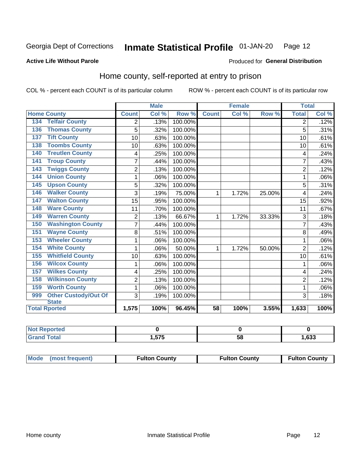#### Inmate Statistical Profile 01-JAN-20 Page 12

### **Active Life Without Parole**

### Produced for General Distribution

## Home county, self-reported at entry to prison

COL % - percent each COUNT is of its particular column

|                                    |                | <b>Male</b> |         |              | <b>Female</b> |        | <b>Total</b>   |       |
|------------------------------------|----------------|-------------|---------|--------------|---------------|--------|----------------|-------|
| <b>Home County</b>                 | <b>Count</b>   | Col %       | Row %   | <b>Count</b> | Col %         | Row %  | <b>Total</b>   | Col % |
| <b>Telfair County</b><br>134       | 2              | .13%        | 100.00% |              |               |        | 2              | .12%  |
| <b>Thomas County</b><br>136        | 5              | .32%        | 100.00% |              |               |        | 5              | .31%  |
| <b>Tift County</b><br>137          | 10             | .63%        | 100.00% |              |               |        | 10             | .61%  |
| <b>Toombs County</b><br>138        | 10             | .63%        | 100.00% |              |               |        | 10             | .61%  |
| <b>Treutlen County</b><br>140      | 4              | .25%        | 100.00% |              |               |        | 4              | .24%  |
| <b>Troup County</b><br>141         | $\overline{7}$ | .44%        | 100.00% |              |               |        |                | .43%  |
| <b>Twiggs County</b><br>143        | $\overline{2}$ | .13%        | 100.00% |              |               |        | $\overline{2}$ | .12%  |
| <b>Union County</b><br>144         | 1              | .06%        | 100.00% |              |               |        | 1              | .06%  |
| <b>Upson County</b><br>145         | 5              | .32%        | 100.00% |              |               |        | 5              | .31%  |
| <b>Walker County</b><br>146        | 3              | .19%        | 75.00%  | 1            | 1.72%         | 25.00% | 4              | .24%  |
| <b>Walton County</b><br>147        | 15             | .95%        | 100.00% |              |               |        | 15             | .92%  |
| <b>Ware County</b><br>148          | 11             | .70%        | 100.00% |              |               |        | 11             | .67%  |
| <b>Warren County</b><br>149        | $\overline{2}$ | .13%        | 66.67%  | 1            | 1.72%         | 33.33% | 3              | .18%  |
| <b>Washington County</b><br>150    | $\overline{7}$ | .44%        | 100.00% |              |               |        | 7              | .43%  |
| <b>Wayne County</b><br>151         | 8              | .51%        | 100.00% |              |               |        | 8              | .49%  |
| <b>Wheeler County</b><br>153       | 1              | .06%        | 100.00% |              |               |        |                | .06%  |
| <b>White County</b><br>154         | 1              | .06%        | 50.00%  | 1            | 1.72%         | 50.00% | $\overline{2}$ | .12%  |
| <b>Whitfield County</b><br>155     | 10             | .63%        | 100.00% |              |               |        | 10             | .61%  |
| <b>Wilcox County</b><br>156        | 1              | .06%        | 100.00% |              |               |        | 1              | .06%  |
| <b>Wilkes County</b><br>157        | 4              | .25%        | 100.00% |              |               |        | 4              | .24%  |
| <b>Wilkinson County</b><br>158     | $\overline{2}$ | .13%        | 100.00% |              |               |        | $\overline{2}$ | .12%  |
| <b>Worth County</b><br>159         | 1              | .06%        | 100.00% |              |               |        | 1              | .06%  |
| <b>Other Custody/Out Of</b><br>999 | 3              | .19%        | 100.00% |              |               |        | 3              | .18%  |
| <b>State</b>                       |                |             |         |              |               |        |                |       |
| <b>Total Rported</b>               | 1,575          | 100%        | 96.45%  | 58           | 100%          | 3.55%  | 1,633          | 100%  |

| <b>Not Reported</b> |     |    |      |
|---------------------|-----|----|------|
| Total<br>l Grani    | --- | ၁၀ | ,633 |

| Mode (most frequent) | <b>Fulton County</b> | <b>Fulton County</b> | <b>Fulton County</b> |
|----------------------|----------------------|----------------------|----------------------|
|----------------------|----------------------|----------------------|----------------------|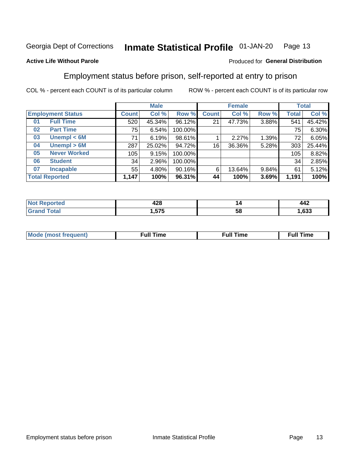#### Inmate Statistical Profile 01-JAN-20 Page 13

#### **Active Life Without Parole**

#### Produced for General Distribution

## Employment status before prison, self-reported at entry to prison

COL % - percent each COUNT is of its particular column

|                           |         | <b>Male</b> |         |              | <b>Female</b> |       |       | <b>Total</b> |  |
|---------------------------|---------|-------------|---------|--------------|---------------|-------|-------|--------------|--|
| <b>Employment Status</b>  | Count l | Col %       | Row %   | <b>Count</b> | Col %         | Row % | Total | Col %        |  |
| <b>Full Time</b><br>01    | 520     | 45.34%      | 96.12%  | 21           | 47.73%        | 3.88% | 541   | 45.42%       |  |
| <b>Part Time</b><br>02    | 75      | 6.54%       | 100.00% |              |               |       | 75    | 6.30%        |  |
| Unempl $< 6M$<br>03       | 71      | 6.19%       | 98.61%  |              | 2.27%         | 1.39% | 72    | 6.05%        |  |
| Unempl > 6M<br>04         | 287     | 25.02%      | 94.72%  | 16           | 36.36%        | 5.28% | 303   | 25.44%       |  |
| <b>Never Worked</b><br>05 | 105     | 9.15%       | 100.00% |              |               |       | 105   | 8.82%        |  |
| <b>Student</b><br>06      | 34      | 2.96%       | 100.00% |              |               |       | 34    | 2.85%        |  |
| <b>Incapable</b><br>07    | 55      | $4.80\%$    | 90.16%  | 6            | 13.64%        | 9.84% | 61    | 5.12%        |  |
| <b>Total Reported</b>     | 1,147   | 100%        | 96.31%  | 44           | 100%          | 3.69% | 1,191 | 100%         |  |

| ההו     | ız | $\overline{\phantom{a}}$ |
|---------|----|--------------------------|
| 44C     |    | 44Z                      |
| ---<br> | ວເ |                          |

| Mc | ∴ul! | ----<br>ıme<br>w |
|----|------|------------------|
|    |      |                  |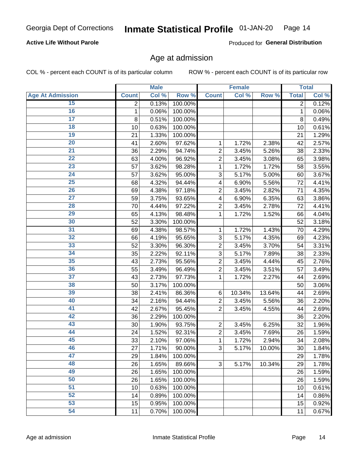### **Active Life Without Parole**

Produced for General Distribution

### Age at admission

COL % - percent each COUNT is of its particular column

|                         |                | <b>Male</b> |         |                | <b>Female</b> |        |                | <b>Total</b> |
|-------------------------|----------------|-------------|---------|----------------|---------------|--------|----------------|--------------|
| <b>Age At Admission</b> | <b>Count</b>   | Col %       | Row %   | <b>Count</b>   | Col %         | Row %  | <b>Total</b>   | Col %        |
| 15                      | $\overline{2}$ | 0.13%       | 100.00% |                |               |        | $\overline{2}$ | 0.12%        |
| 16                      | 1              | 0.06%       | 100.00% |                |               |        | $\mathbf{1}$   | 0.06%        |
| $\overline{17}$         | 8              | 0.51%       | 100.00% |                |               |        | 8              | 0.49%        |
| 18                      | 10             | 0.63%       | 100.00% |                |               |        | 10             | 0.61%        |
| 19                      | 21             | 1.33%       | 100.00% |                |               |        | 21             | 1.29%        |
| $\overline{20}$         | 41             | 2.60%       | 97.62%  | 1              | 1.72%         | 2.38%  | 42             | 2.57%        |
| 21                      | 36             | 2.29%       | 94.74%  | $\overline{c}$ | 3.45%         | 5.26%  | 38             | 2.33%        |
| $\overline{22}$         | 63             | 4.00%       | 96.92%  | $\overline{2}$ | 3.45%         | 3.08%  | 65             | 3.98%        |
| $\overline{23}$         | 57             | 3.62%       | 98.28%  | 1              | 1.72%         | 1.72%  | 58             | 3.55%        |
| $\overline{24}$         | 57             | 3.62%       | 95.00%  | 3              | 5.17%         | 5.00%  | 60             | 3.67%        |
| $\overline{25}$         | 68             | 4.32%       | 94.44%  | 4              | 6.90%         | 5.56%  | 72             | 4.41%        |
| 26                      | 69             | 4.38%       | 97.18%  | $\overline{2}$ | 3.45%         | 2.82%  | 71             | 4.35%        |
| $\overline{27}$         | 59             | 3.75%       | 93.65%  | 4              | 6.90%         | 6.35%  | 63             | 3.86%        |
| 28                      | 70             | 4.44%       | 97.22%  | $\overline{2}$ | 3.45%         | 2.78%  | 72             | 4.41%        |
| 29                      | 65             | 4.13%       | 98.48%  | 1              | 1.72%         | 1.52%  | 66             | 4.04%        |
| 30                      | 52             | 3.30%       | 100.00% |                |               |        | 52             | 3.18%        |
| 31                      | 69             | 4.38%       | 98.57%  | 1              | 1.72%         | 1.43%  | 70             | 4.29%        |
| $\overline{32}$         | 66             | 4.19%       | 95.65%  | 3              | 5.17%         | 4.35%  | 69             | 4.23%        |
| 33                      | 52             | 3.30%       | 96.30%  | $\overline{2}$ | 3.45%         | 3.70%  | 54             | 3.31%        |
| $\overline{34}$         | 35             | 2.22%       | 92.11%  | 3              | 5.17%         | 7.89%  | 38             | 2.33%        |
| 35                      | 43             | 2.73%       | 95.56%  | $\overline{c}$ | 3.45%         | 4.44%  | 45             | 2.76%        |
| 36                      | 55             | 3.49%       | 96.49%  | $\overline{2}$ | 3.45%         | 3.51%  | 57             | 3.49%        |
| $\overline{37}$         | 43             | 2.73%       | 97.73%  | 1              | 1.72%         | 2.27%  | 44             | 2.69%        |
| 38                      | 50             | 3.17%       | 100.00% |                |               |        | 50             | 3.06%        |
| 39                      | 38             | 2.41%       | 86.36%  | $\,6$          | 10.34%        | 13.64% | 44             | 2.69%        |
| 40                      | 34             | 2.16%       | 94.44%  | $\overline{c}$ | 3.45%         | 5.56%  | 36             | 2.20%        |
| 41                      | 42             | 2.67%       | 95.45%  | $\overline{2}$ | 3.45%         | 4.55%  | 44             | 2.69%        |
| 42                      | 36             | 2.29%       | 100.00% |                |               |        | 36             | 2.20%        |
| 43                      | 30             | 1.90%       | 93.75%  | $\overline{2}$ | 3.45%         | 6.25%  | 32             | 1.96%        |
| 44                      | 24             | 1.52%       | 92.31%  | $\overline{c}$ | 3.45%         | 7.69%  | 26             | 1.59%        |
| 45                      | 33             | 2.10%       | 97.06%  | $\mathbf{1}$   | 1.72%         | 2.94%  | 34             | 2.08%        |
| 46                      | 27             | 1.71%       | 90.00%  | 3              | 5.17%         | 10.00% | 30             | 1.84%        |
| 47                      | 29             | 1.84%       | 100.00% |                |               |        | 29             | 1.78%        |
| 48                      | 26             | 1.65%       | 89.66%  | 3              | 5.17%         | 10.34% | 29             | 1.78%        |
| 49                      | 26             | 1.65%       | 100.00% |                |               |        | 26             | 1.59%        |
| 50                      | 26             | 1.65%       | 100.00% |                |               |        | 26             | 1.59%        |
| $\overline{51}$         | 10             | 0.63%       | 100.00% |                |               |        | 10             | 0.61%        |
| $\overline{52}$         | 14             | 0.89%       | 100.00% |                |               |        | 14             | 0.86%        |
| 53                      | 15             | 0.95%       | 100.00% |                |               |        | 15             | 0.92%        |
| 54                      | 11             | 0.70%       | 100.00% |                |               |        | 11             | 0.67%        |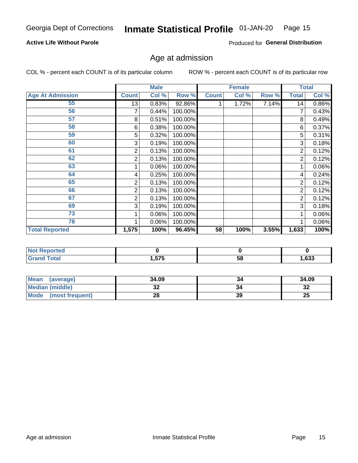### **Active Life Without Parole**

Produced for General Distribution

## Age at admission

COL % - percent each COUNT is of its particular column

|                         |              | <b>Male</b> |         |              | <b>Female</b> |       |                | <b>Total</b> |
|-------------------------|--------------|-------------|---------|--------------|---------------|-------|----------------|--------------|
| <b>Age At Admission</b> | <b>Count</b> | Col %       | Row %   | <b>Count</b> | Col %         | Row % | <b>Total</b>   | Col %        |
| 55                      | 13           | 0.83%       | 92.86%  |              | 1.72%         | 7.14% | 14             | 0.86%        |
| 56                      | 7            | 0.44%       | 100.00% |              |               |       | 7              | 0.43%        |
| 57                      | 8            | 0.51%       | 100.00% |              |               |       | 8              | 0.49%        |
| 58                      | 6            | 0.38%       | 100.00% |              |               |       | 6              | 0.37%        |
| 59                      | 5            | 0.32%       | 100.00% |              |               |       | 5              | 0.31%        |
| 60                      | 3            | 0.19%       | 100.00% |              |               |       | 3              | 0.18%        |
| 61                      | 2            | 0.13%       | 100.00% |              |               |       | 2              | 0.12%        |
| 62                      | 2            | 0.13%       | 100.00% |              |               |       | $\overline{2}$ | 0.12%        |
| 63                      |              | 0.06%       | 100.00% |              |               |       | 1              | 0.06%        |
| 64                      | 4            | 0.25%       | 100.00% |              |               |       | 4              | 0.24%        |
| 65                      | 2            | 0.13%       | 100.00% |              |               |       | 2              | 0.12%        |
| 66                      | 2            | 0.13%       | 100.00% |              |               |       | 2              | 0.12%        |
| 67                      | 2            | 0.13%       | 100.00% |              |               |       | 2              | 0.12%        |
| 69                      | 3            | 0.19%       | 100.00% |              |               |       | 3              | 0.18%        |
| 73                      |              | 0.06%       | 100.00% |              |               |       |                | $0.06\%$     |
| 78                      |              | 0.06%       | 100.00% |              |               |       |                | 0.06%        |
| <b>Total Reported</b>   | 1,575        | 100%        | 96.45%  | 58           | 100%          | 3.55% | 1,633          | 100%         |

| <u>teu</u> |            |    |        |
|------------|------------|----|--------|
| Code"      | <b>676</b> | ۰, | $\sim$ |
|            | כ וכ.      | uc | ნაა    |

| <b>Mean</b><br>(average) | 34.09 |    | 34.09     |
|--------------------------|-------|----|-----------|
| <b>Median (middle)</b>   | JZ    |    | o c<br>⊾ت |
| Mode (most frequent)     | იი    | 39 | 25        |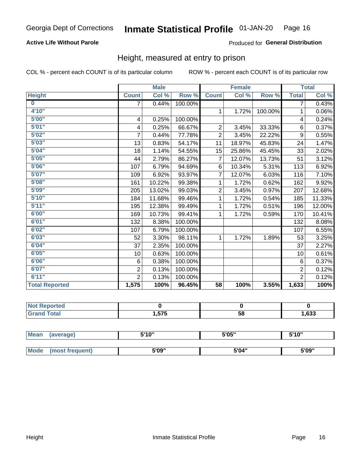### **Active Life Without Parole**

### Produced for General Distribution

### Height, measured at entry to prison

COL % - percent each COUNT is of its particular column

|                       |                         | <b>Male</b> |         |                | <b>Female</b>              |         |                         | <b>Total</b> |
|-----------------------|-------------------------|-------------|---------|----------------|----------------------------|---------|-------------------------|--------------|
| <b>Height</b>         | <b>Count</b>            | Col %       | Row %   | <b>Count</b>   | $\overline{\text{Col }^9}$ | Row %   | <b>Total</b>            | Col %        |
| $\bf{0}$              | 7                       | 0.44%       | 100.00% |                |                            |         | 7                       | 0.43%        |
| 4'10''                |                         |             |         | $\mathbf{1}$   | 1.72%                      | 100.00% | 1                       | 0.06%        |
| 5'00''                | $\overline{\mathbf{4}}$ | 0.25%       | 100.00% |                |                            |         | $\overline{\mathbf{4}}$ | 0.24%        |
| 5'01"                 | 4                       | 0.25%       | 66.67%  | $\overline{2}$ | 3.45%                      | 33.33%  | 6                       | 0.37%        |
| 5'02"                 | $\overline{7}$          | 0.44%       | 77.78%  | $\overline{2}$ | 3.45%                      | 22.22%  | 9                       | 0.55%        |
| 5'03''                | 13                      | 0.83%       | 54.17%  | 11             | 18.97%                     | 45.83%  | 24                      | 1.47%        |
| 5'04"                 | 18                      | 1.14%       | 54.55%  | 15             | 25.86%                     | 45.45%  | 33                      | 2.02%        |
| 5'05"                 | 44                      | 2.79%       | 86.27%  | 7              | 12.07%                     | 13.73%  | 51                      | 3.12%        |
| 5'06"                 | 107                     | 6.79%       | 94.69%  | 6              | 10.34%                     | 5.31%   | 113                     | 6.92%        |
| 5'07''                | 109                     | 6.92%       | 93.97%  | 7              | 12.07%                     | 6.03%   | 116                     | 7.10%        |
| 5'08''                | 161                     | 10.22%      | 99.38%  | 1              | $\overline{1.72\%}$        | 0.62%   | 162                     | 9.92%        |
| 5'09''                | 205                     | 13.02%      | 99.03%  | $\overline{2}$ | 3.45%                      | 0.97%   | 207                     | 12.68%       |
| 5'10''                | 184                     | 11.68%      | 99.46%  | 1              | 1.72%                      | 0.54%   | 185                     | 11.33%       |
| 5'11"                 | 195                     | 12.38%      | 99.49%  | 1              | 1.72%                      | 0.51%   | 196                     | 12.00%       |
| 6'00''                | 169                     | 10.73%      | 99.41%  | 1              | 1.72%                      | 0.59%   | 170                     | 10.41%       |
| 6'01''                | 132                     | 8.38%       | 100.00% |                |                            |         | 132                     | 8.08%        |
| 6'02"                 | 107                     | 6.79%       | 100.00% |                |                            |         | 107                     | 6.55%        |
| 6'03''                | 52                      | 3.30%       | 98.11%  | $\mathbf{1}$   | 1.72%                      | 1.89%   | 53                      | 3.25%        |
| 6'04"                 | 37                      | 2.35%       | 100.00% |                |                            |         | 37                      | 2.27%        |
| 6'05"                 | 10                      | 0.63%       | 100.00% |                |                            |         | 10                      | 0.61%        |
| 6'06"                 | 6                       | 0.38%       | 100.00% |                |                            |         | 6                       | 0.37%        |
| 6'07''                | $\overline{2}$          | 0.13%       | 100.00% |                |                            |         | $\overline{2}$          | 0.12%        |
| 6'11''                | $\overline{2}$          | 0.13%       | 100.00% |                |                            |         | $\overline{2}$          | 0.12%        |
| <b>Total Reported</b> | 1,575                   | 100%        | 96.45%  | 58             | 100%                       | 3.55%   | 1,633                   | 100%         |

| eported     |      |    |      |
|-------------|------|----|------|
| <b>otal</b> | .575 | 58 | ,633 |

| <b>Mean</b> | (average)       | 5'10" | 5'05" | 5'10" |
|-------------|-----------------|-------|-------|-------|
|             |                 |       |       |       |
| Mode        | (most frequent) | 5'09" | 5'04" | 5'09" |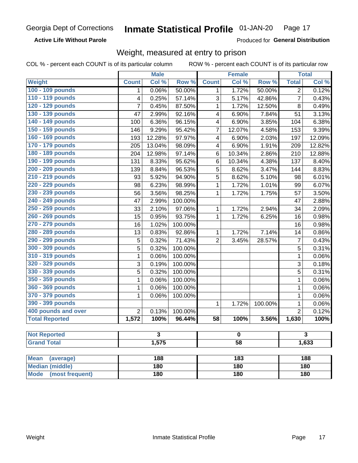**Active Life Without Parole** 

Produced for General Distribution

## Weight, measured at entry to prison

COL % - percent each COUNT is of its particular column

|                                |                | <b>Male</b> |                  |                 | <b>Female</b>       |         |                | <b>Total</b> |  |
|--------------------------------|----------------|-------------|------------------|-----------------|---------------------|---------|----------------|--------------|--|
| <b>Weight</b>                  | <b>Count</b>   | Col %       | Row <sup>%</sup> | <b>Count</b>    | Col %               | Row %   | <b>Total</b>   | Col %        |  |
| 100 - 109 pounds               | 1              | 0.06%       | 50.00%           | 1               | 1.72%               | 50.00%  | $\overline{2}$ | 0.12%        |  |
| 110 - 119 pounds               | 4              | 0.25%       | 57.14%           | 3               | 5.17%               | 42.86%  | $\overline{7}$ | 0.43%        |  |
| 120 - 129 pounds               | $\overline{7}$ | 0.45%       | 87.50%           | $\mathbf{1}$    | 1.72%               | 12.50%  | 8              | 0.49%        |  |
| 130 - 139 pounds               | 47             | 2.99%       | 92.16%           | 4               | 6.90%               | 7.84%   | 51             | 3.13%        |  |
| 140 - 149 pounds               | 100            | 6.36%       | 96.15%           | 4               | 6.90%               | 3.85%   | 104            | 6.38%        |  |
| 150 - 159 pounds               | 146            | 9.29%       | 95.42%           | 7               | 12.07%              | 4.58%   | 153            | 9.39%        |  |
| 160 - 169 pounds               | 193            | 12.28%      | 97.97%           | 4               | 6.90%               | 2.03%   | 197            | 12.09%       |  |
| 170 - 179 pounds               | 205            | 13.04%      | 98.09%           | 4               | 6.90%               | 1.91%   | 209            | 12.82%       |  |
| 180 - 189 pounds               | 204            | 12.98%      | 97.14%           | 6               | 10.34%              | 2.86%   | 210            | 12.88%       |  |
| 190 - 199 pounds               | 131            | 8.33%       | 95.62%           | 6               | 10.34%              | 4.38%   | 137            | 8.40%        |  |
| 200 - 209 pounds               | 139            | 8.84%       | 96.53%           | 5               | 8.62%               | 3.47%   | 144            | 8.83%        |  |
| 210 - 219 pounds               | 93             | 5.92%       | 94.90%           | 5               | 8.62%               | 5.10%   | 98             | 6.01%        |  |
| 220 - 229 pounds               | 98             | 6.23%       | 98.99%           | $\mathbf{1}$    | 1.72%               | 1.01%   | 99             | 6.07%        |  |
| 230 - 239 pounds               | 56             | 3.56%       | 98.25%           | 1               | 1.72%               | 1.75%   | 57             | 3.50%        |  |
| 240 - 249 pounds               | 47             | 2.99%       | 100.00%          |                 |                     |         | 47             | 2.88%        |  |
| 250 - 259 pounds               | 33             | 2.10%       | 97.06%           | 1               | $\overline{1.72\%}$ | 2.94%   | 34             | 2.09%        |  |
| 260 - 269 pounds               | 15             | 0.95%       | 93.75%           | 1               | 1.72%               | 6.25%   | 16             | 0.98%        |  |
| 270 - 279 pounds               | 16             | 1.02%       | 100.00%          |                 |                     |         | 16             | 0.98%        |  |
| 280 - 289 pounds               | 13             | 0.83%       | 92.86%           | 1               | 1.72%               | 7.14%   | 14             | 0.86%        |  |
| 290 - 299 pounds               | 5              | 0.32%       | 71.43%           | $\overline{2}$  | 3.45%               | 28.57%  | 7              | 0.43%        |  |
| 300 - 309 pounds               | 5              | 0.32%       | 100.00%          |                 |                     |         | 5              | 0.31%        |  |
| 310 - 319 pounds               | 1              | 0.06%       | 100.00%          |                 |                     |         | $\mathbf{1}$   | 0.06%        |  |
| 320 - 329 pounds               | 3              | 0.19%       | 100.00%          |                 |                     |         | 3              | 0.18%        |  |
| 330 - 339 pounds               | 5              | 0.32%       | 100.00%          |                 |                     |         | 5              | 0.31%        |  |
| 350 - 359 pounds               | 1              | 0.06%       | 100.00%          |                 |                     |         | $\mathbf{1}$   | 0.06%        |  |
| 360 - 369 pounds               | 1              | 0.06%       | 100.00%          |                 |                     |         | $\mathbf 1$    | 0.06%        |  |
| 370 - 379 pounds               | 1              | 0.06%       | 100.00%          |                 |                     |         | $\mathbf 1$    | 0.06%        |  |
| 390 - 399 pounds               |                |             |                  | 1               | 1.72%               | 100.00% | 1              | 0.06%        |  |
| 400 pounds and over            | $\overline{2}$ | 0.13%       | 100.00%          |                 |                     |         | $\overline{2}$ | 0.12%        |  |
| <b>Total Reported</b>          | 1,572          | 100%        | 96.44%           | $\overline{58}$ | 100%                | 3.56%   | 1,630          | 100%         |  |
|                                |                |             |                  |                 |                     |         |                |              |  |
| <b>Not Reported</b>            |                | 3           |                  |                 | 0                   |         |                | 3            |  |
| <b>Grand Total</b>             |                | 1,575       |                  | $\overline{58}$ |                     |         | 1,633          |              |  |
|                                |                |             |                  |                 |                     |         |                |              |  |
| <b>Mean</b><br>(average)       |                | 188         |                  |                 | 183                 |         |                | 188          |  |
| <b>Median (middle)</b>         |                | 180         |                  |                 | 180                 |         |                | 180          |  |
| <b>Mode</b><br>(most frequent) |                | 180         |                  | 180             |                     |         | 180            |              |  |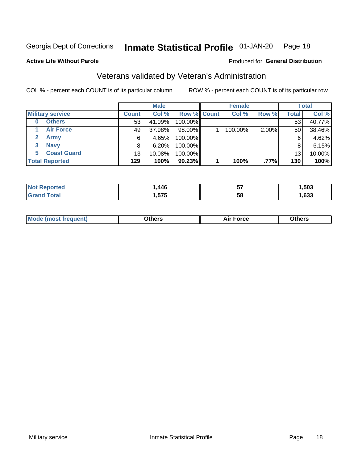#### Inmate Statistical Profile 01-JAN-20 Page 18

### **Active Life Without Parole**

### Produced for General Distribution

## Veterans validated by Veteran's Administration

COL % - percent each COUNT is of its particular column

|                          |                 | <b>Male</b> |                    | <b>Female</b> |       |              | <b>Total</b> |
|--------------------------|-----------------|-------------|--------------------|---------------|-------|--------------|--------------|
| <b>Military service</b>  | <b>Count</b>    | Col %       | <b>Row % Count</b> | Col %         | Row % | <b>Total</b> | Col %        |
| <b>Others</b><br>0       | 53 <sup>1</sup> | 41.09%      | 100.00%            |               |       | 53           | 40.77%       |
| <b>Air Force</b>         | 49              | 37.98%      | 98.00%             | 100.00%       | 2.00% | 50           | 38.46%       |
| <b>Army</b>              | 6               | 4.65%       | 100.00%            |               |       | 6            | 4.62%        |
| <b>Navy</b><br>3         | 8               | 6.20%       | 100.00%            |               |       | 8            | 6.15%        |
| <b>Coast Guard</b><br>5. | 13              | 10.08%      | 100.00%            |               |       | 13           | 10.00%       |
| <b>Total Reported</b>    | 129             | 100%        | $99.23\%$          | 100%          | .77%  | 130          | 100%         |

| тес          | ,446                | --<br>IJ | .503         |
|--------------|---------------------|----------|--------------|
| <b>Total</b> | ---<br>۰.<br>.J I J | 5٤       | con.<br>,633 |

| <b>Moo.</b> |
|-------------|
|-------------|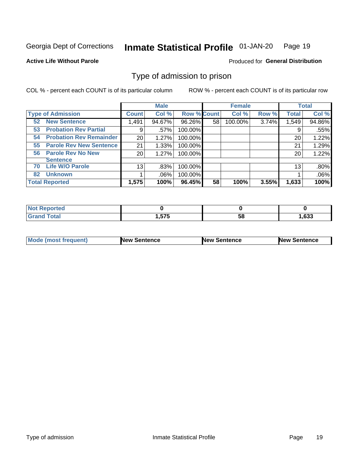#### Inmate Statistical Profile 01-JAN-20 Page 19

**Active Life Without Parole** 

Produced for General Distribution

### Type of admission to prison

COL % - percent each COUNT is of its particular column

|                                      |              | <b>Male</b> |                    |    | <b>Female</b> |       |              | <b>Total</b> |
|--------------------------------------|--------------|-------------|--------------------|----|---------------|-------|--------------|--------------|
| <b>Type of Admission</b>             | <b>Count</b> | Col %       | <b>Row % Count</b> |    | Col %         | Row % | <b>Total</b> | Col %        |
| <b>52 New Sentence</b>               | 1,491        | 94.67%      | 96.26%             | 58 | 100.00%       | 3.74% | 1,549        | 94.86%       |
| <b>Probation Rev Partial</b><br>53   | 9            | .57%        | 100.00%            |    |               |       | 9            | .55%         |
| <b>Probation Rev Remainder</b><br>54 | 20           | 1.27%       | 100.00%            |    |               |       | 20           | 1.22%        |
| <b>Parole Rev New Sentence</b><br>55 | 21           | 1.33%       | 100.00%            |    |               |       | 21           | 1.29%        |
| <b>Parole Rev No New</b><br>56       | 20           | 1.27%       | 100.00%            |    |               |       | 20           | 1.22%        |
| <b>Sentence</b>                      |              |             |                    |    |               |       |              |              |
| <b>Life W/O Parole</b><br>70         | 13           | .83%        | 100.00%            |    |               |       | 13           | .80%         |
| <b>Unknown</b><br>82                 |              | $.06\%$     | 100.00%            |    |               |       |              | .06%         |
| <b>Total Reported</b>                | 1,575        | 100%        | 96.45%             | 58 | 100%          | 3.55% | 1,633        | 100%         |

| <b>Not Reported</b> |      |     |       |
|---------------------|------|-----|-------|
| <b>Total</b>        | 575  | c c | 1,633 |
| 'Grand              | J 10 | ວບ  |       |

| Mode (most frequent) | <b>New Sentence</b> | <b>New Sentence</b> | <b>New Sentence</b> |
|----------------------|---------------------|---------------------|---------------------|
|                      |                     |                     |                     |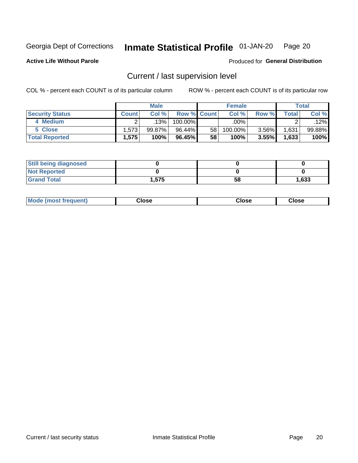#### Inmate Statistical Profile 01-JAN-20 Page 20

**Active Life Without Parole** 

### Produced for General Distribution

## Current / last supervision level

COL % - percent each COUNT is of its particular column

|                        |              | <b>Male</b> |                    |    | <b>Female</b> |       |       | <b>Total</b> |
|------------------------|--------------|-------------|--------------------|----|---------------|-------|-------|--------------|
| <b>Security Status</b> | <b>Count</b> | Col%        | <b>Row % Count</b> |    | Col %         | Row % | Total | Col %        |
| 4 Medium               |              | 13%         | 100.00%            |    | .00%          |       |       | .12%         |
| 5 Close                | 1,573        | 99.87%      | 96.44%             | 58 | 100.00%       | 3.56% | 1,631 | 99.88%       |
| <b>Total Reported</b>  | 1,575        | 100%        | 96.45%             | 58 | 100%          | 3.55% | 1,633 | 100%         |

| <b>Still being diagnosed</b> |      |    |       |
|------------------------------|------|----|-------|
| <b>Not Reported</b>          |      |    |       |
| <b>Grand Total</b>           | .575 | 58 | 1,633 |

| <b>AhoM</b><br>rreauent) | Close | Close | Close |
|--------------------------|-------|-------|-------|
|                          |       |       |       |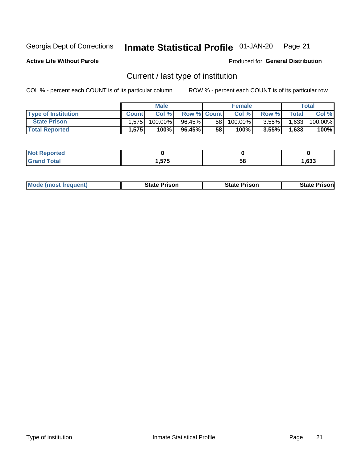#### Inmate Statistical Profile 01-JAN-20 Page 21

**Active Life Without Parole** 

Produced for General Distribution

## Current / last type of institution

COL % - percent each COUNT is of its particular column

|                            |              | <b>Male</b> |                    |                 | <b>Female</b> |          |              | Total   |
|----------------------------|--------------|-------------|--------------------|-----------------|---------------|----------|--------------|---------|
| <b>Type of Institution</b> | <b>Count</b> | Col %       | <b>Row % Count</b> |                 | Col %         | Row %I   | <b>Total</b> | Col %   |
| <b>State Prison</b>        | $1.575 -$    | 100.00%」    | 96.45%             | 58 <sub>1</sub> | $100.00\%$    | $3.55\%$ | 1,633        | 100.00% |
| <b>Total Reported</b>      | 1,575        | 100%        | 96.45%             | 58              | 100%          | 3.55%    | 1,633        | 100%    |

| тео |     |    |      |
|-----|-----|----|------|
|     | ヒフヒ | ວເ | .633 |

|  | <b>Mode (most frequent)</b> | State Prison | <b>State Prison</b> | <b>State Prison</b> |
|--|-----------------------------|--------------|---------------------|---------------------|
|--|-----------------------------|--------------|---------------------|---------------------|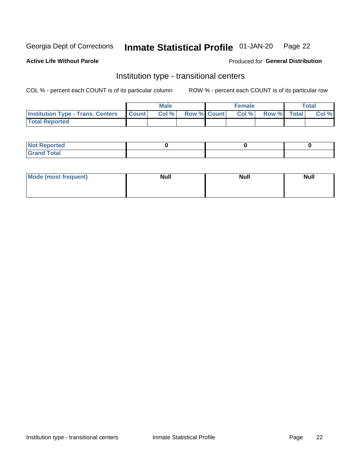#### Inmate Statistical Profile 01-JAN-20 Page 22

### **Active Life Without Parole**

#### Produced for General Distribution

## Institution type - transitional centers

COL % - percent each COUNT is of its particular column

|                                                | Male  |                    | <b>Female</b> |                   | Total |
|------------------------------------------------|-------|--------------------|---------------|-------------------|-------|
| <b>Institution Type - Trans. Centers Count</b> | Col % | <b>Row % Count</b> |               | Col % Row % Total | Col % |
| <b>Total Reported</b>                          |       |                    |               |                   |       |

| <b>Reported</b><br><b>NOT</b><br>$\sim$            |  |  |
|----------------------------------------------------|--|--|
| $f$ $f \circ f \circ f$<br>$C = 1$<br><b>TULAI</b> |  |  |

| Mode (most frequent) | <b>Null</b> | <b>Null</b> | <b>Null</b> |
|----------------------|-------------|-------------|-------------|
|                      |             |             |             |
|                      |             |             |             |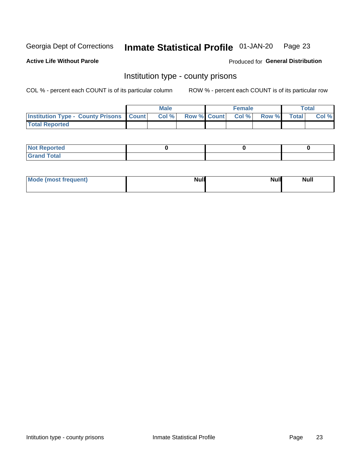#### Inmate Statistical Profile 01-JAN-20 Page 23

**Active Life Without Parole** 

Produced for General Distribution

### Institution type - county prisons

COL % - percent each COUNT is of its particular column

|                                                    | <b>Male</b> |       |                          | <b>Female</b> |  |             | <b>Total</b> |       |
|----------------------------------------------------|-------------|-------|--------------------------|---------------|--|-------------|--------------|-------|
| <b>Institution Type - County Prisons   Count  </b> |             | Col % | <b>Row % Count Col %</b> |               |  | Row % Total |              | Col % |
| <b>Total Reported</b>                              |             |       |                          |               |  |             |              |       |

| <b>Not Reported</b>   |  |  |
|-----------------------|--|--|
| <b>Total</b><br>Granc |  |  |

| Mode (most frequent) | <b>Null</b> | <b>Null</b><br><b>Null</b> |
|----------------------|-------------|----------------------------|
|                      |             |                            |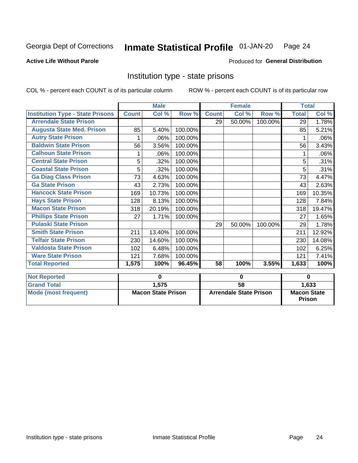#### Inmate Statistical Profile 01-JAN-20 Page 24

#### **Active Life Without Parole**

#### Produced for General Distribution

### Institution type - state prisons

|                                         | <b>Male</b>               |        |         | <b>Female</b>                 |        |         | <b>Total</b>                        |        |
|-----------------------------------------|---------------------------|--------|---------|-------------------------------|--------|---------|-------------------------------------|--------|
| <b>Institution Type - State Prisons</b> | <b>Count</b>              | Col %  | Row %   | <b>Count</b>                  | Col %  | Row %   | <b>Total</b>                        | Col %  |
| <b>Arrendale State Prison</b>           |                           |        |         | 29                            | 50.00% | 100.00% | 29                                  | 1.78%  |
| <b>Augusta State Med. Prison</b>        | 85                        | 5.40%  | 100.00% |                               |        |         | 85                                  | 5.21%  |
| <b>Autry State Prison</b>               |                           | .06%   | 100.00% |                               |        |         |                                     | .06%   |
| <b>Baldwin State Prison</b>             | 56                        | 3.56%  | 100.00% |                               |        |         | 56                                  | 3.43%  |
| <b>Calhoun State Prison</b>             | 1                         | .06%   | 100.00% |                               |        |         | 1                                   | .06%   |
| <b>Central State Prison</b>             | 5                         | .32%   | 100.00% |                               |        |         | 5                                   | .31%   |
| <b>Coastal State Prison</b>             | 5                         | .32%   | 100.00% |                               |        |         | 5                                   | .31%   |
| <b>Ga Diag Class Prison</b>             | 73                        | 4.63%  | 100.00% |                               |        |         | 73                                  | 4.47%  |
| <b>Ga State Prison</b>                  | 43                        | 2.73%  | 100.00% |                               |        |         | 43                                  | 2.63%  |
| <b>Hancock State Prison</b>             | 169                       | 10.73% | 100.00% |                               |        |         | 169                                 | 10.35% |
| <b>Hays State Prison</b>                | 128                       | 8.13%  | 100.00% |                               |        |         | 128                                 | 7.84%  |
| <b>Macon State Prison</b>               | 318                       | 20.19% | 100.00% |                               |        |         | 318                                 | 19.47% |
| <b>Phillips State Prison</b>            | 27                        | 1.71%  | 100.00% |                               |        |         | 27                                  | 1.65%  |
| <b>Pulaski State Prison</b>             |                           |        |         | 29                            | 50.00% | 100.00% | 29                                  | 1.78%  |
| <b>Smith State Prison</b>               | 211                       | 13.40% | 100.00% |                               |        |         | 211                                 | 12.92% |
| <b>Telfair State Prison</b>             | 230                       | 14.60% | 100.00% |                               |        |         | 230                                 | 14.08% |
| <b>Valdosta State Prison</b>            | 102                       | 6.48%  | 100.00% |                               |        |         | 102                                 | 6.25%  |
| <b>Ware State Prison</b>                | 121                       | 7.68%  | 100.00% |                               |        |         | 121                                 | 7.41%  |
| <b>Total Reported</b>                   | 1,575                     | 100%   | 96.45%  | 58                            | 100%   | 3.55%   | 1,633                               | 100%   |
| <b>Not Reported</b>                     |                           | 0      |         | 0                             |        |         | $\bf{0}$                            |        |
| <b>Grand Total</b>                      |                           | 1,575  |         | 58                            |        |         |                                     | 1,633  |
| <b>Mode (most frequent)</b>             | <b>Macon State Prison</b> |        |         | <b>Arrendale State Prison</b> |        |         | <b>Macon State</b><br><b>Prison</b> |        |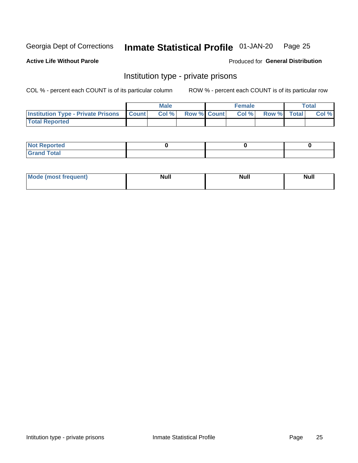#### Inmate Statistical Profile 01-JAN-20 Page 25

**Active Life Without Parole** 

Produced for General Distribution

## Institution type - private prisons

COL % - percent each COUNT is of its particular column

|                                                     | <b>Male</b> |       |                    | <b>Female</b> |       |             | Total |       |
|-----------------------------------------------------|-------------|-------|--------------------|---------------|-------|-------------|-------|-------|
| <b>Institution Type - Private Prisons   Count  </b> |             | Col % | <b>Row % Count</b> |               | Col % | Row % Total |       | Col % |
| <b>Total Reported</b>                               |             |       |                    |               |       |             |       |       |

| Not Reported           |  |  |
|------------------------|--|--|
| <b>Cotal</b><br>______ |  |  |

| <b>Mo</b><br>frequent) | <b>Null</b> | <b>Null</b> | . . I *<br><b>IVUII</b> |
|------------------------|-------------|-------------|-------------------------|
|                        |             |             |                         |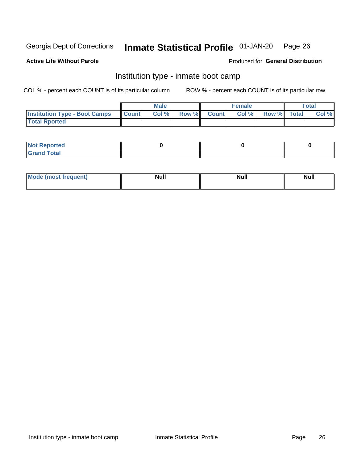#### Inmate Statistical Profile 01-JAN-20 Page 26

### **Active Life Without Parole**

#### Produced for General Distribution

## Institution type - inmate boot camp

COL % - percent each COUNT is of its particular column

|                                      | <b>Male</b>     |       |              |              | <b>Female</b> | <b>Total</b> |  |       |
|--------------------------------------|-----------------|-------|--------------|--------------|---------------|--------------|--|-------|
| <b>Institution Type - Boot Camps</b> | <b>I</b> Count⊥ | Col % | <b>Row %</b> | <b>Count</b> | Col %         | Row % Total  |  | Col % |
| <b>Total Rported</b>                 |                 |       |              |              |               |              |  |       |

| <b>Not Reported</b>            |  |  |
|--------------------------------|--|--|
| <b>Total</b><br>C <sub>r</sub> |  |  |

| Mod<br>uamo | Nul.<br>$- - - - - -$ | <b>Null</b> | . .<br>uu.<br>------ |
|-------------|-----------------------|-------------|----------------------|
|             |                       |             |                      |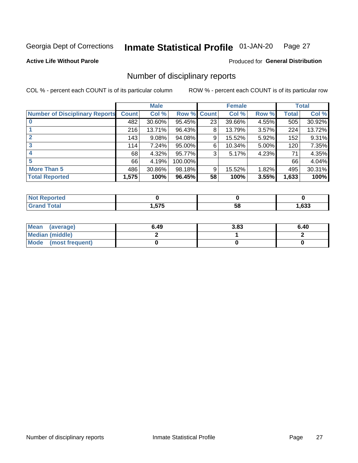#### Inmate Statistical Profile 01-JAN-20 Page 27

#### **Active Life Without Parole**

### Produced for General Distribution

## Number of disciplinary reports

COL % - percent each COUNT is of its particular column

|                                       | <b>Male</b>  |        |         | <b>Female</b> |        |       | <b>Total</b> |        |
|---------------------------------------|--------------|--------|---------|---------------|--------|-------|--------------|--------|
| <b>Number of Disciplinary Reports</b> | <b>Count</b> | Col %  | Row %   | <b>Count</b>  | Col %  | Row % | Total        | Col %  |
|                                       | 482          | 30.60% | 95.45%  | 23            | 39.66% | 4.55% | 505          | 30.92% |
|                                       | 216          | 13.71% | 96.43%  | 8             | 13.79% | 3.57% | 224          | 13.72% |
| $\mathbf{2}$                          | 143          | 9.08%  | 94.08%  | 9             | 15.52% | 5.92% | 152          | 9.31%  |
| 3                                     | 114          | 7.24%  | 95.00%  | 6             | 10.34% | 5.00% | 120          | 7.35%  |
|                                       | 68           | 4.32%  | 95.77%  | 3             | 5.17%  | 4.23% | 71           | 4.35%  |
| 5                                     | 66           | 4.19%  | 100.00% |               |        |       | 66           | 4.04%  |
| <b>More Than 5</b>                    | 486          | 30.86% | 98.18%  | 9             | 15.52% | 1.82% | 495          | 30.31% |
| <b>Total Reported</b>                 | 1,575        | 100%   | 96.45%  | 58            | 100%   | 3.55% | 1,633        | 100%   |

| rtea<br>NO |            |    |      |
|------------|------------|----|------|
| `otal      | ドフド<br>v.v | 58 | .633 |

| Mean (average)       | 6.49 | 3.83 | 6.40 |
|----------------------|------|------|------|
| Median (middle)      |      |      |      |
| Mode (most frequent) |      |      |      |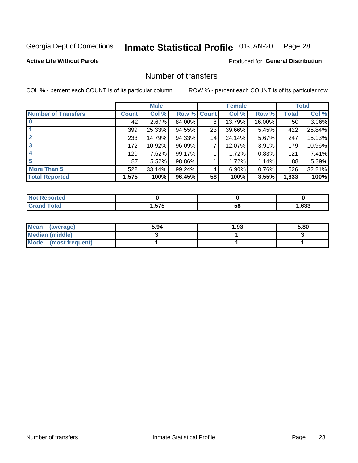#### Inmate Statistical Profile 01-JAN-20 Page 28

**Active Life Without Parole** 

Produced for General Distribution

## Number of transfers

COL % - percent each COUNT is of its particular column

|                            | <b>Male</b>  |        | <b>Female</b>      |    |        | <b>Total</b> |              |        |
|----------------------------|--------------|--------|--------------------|----|--------|--------------|--------------|--------|
| <b>Number of Transfers</b> | <b>Count</b> | Col %  | <b>Row % Count</b> |    | Col %  | Row %        | <b>Total</b> | Col %  |
|                            | 42           | 2.67%  | 84.00%             | 8  | 13.79% | 16.00%       | 50           | 3.06%  |
|                            | 399          | 25.33% | 94.55%             | 23 | 39.66% | 5.45%        | 422          | 25.84% |
| $\mathbf{2}$               | 233          | 14.79% | 94.33%             | 14 | 24.14% | 5.67%        | 247          | 15.13% |
| 3                          | 172          | 10.92% | 96.09%             | 7  | 12.07% | 3.91%        | 179          | 10.96% |
|                            | 120          | 7.62%  | 99.17%             |    | 1.72%  | 0.83%        | 121          | 7.41%  |
| 5                          | 87           | 5.52%  | 98.86%             |    | 1.72%  | 1.14%        | 88           | 5.39%  |
| <b>More Than 5</b>         | 522          | 33.14% | 99.24%             | 4  | 6.90%  | 0.76%        | 526          | 32.21% |
| <b>Total Reported</b>      | 1,575        | 100%   | 96.45%             | 58 | 100%   | 3.55%        | 1,633        | 100%   |

| rtea<br>NO |            |    |      |
|------------|------------|----|------|
| `otal      | ドフド<br>v.v | 58 | .633 |

| Mean (average)       | 5.94 | 1.93 | 5.80 |
|----------------------|------|------|------|
| Median (middle)      |      |      |      |
| Mode (most frequent) |      |      |      |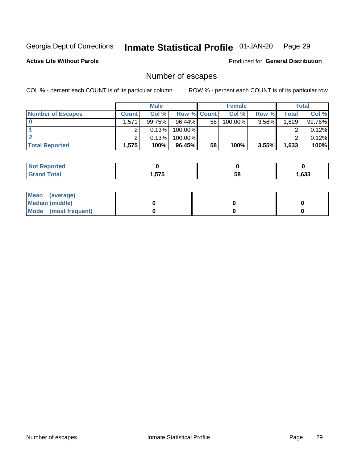#### Inmate Statistical Profile 01-JAN-20 Page 29

#### **Active Life Without Parole**

Produced for General Distribution

## Number of escapes

COL % - percent each COUNT is of its particular column

|                          | <b>Male</b>  |           |                    | <b>Female</b> |         |       | Total |        |
|--------------------------|--------------|-----------|--------------------|---------------|---------|-------|-------|--------|
| <b>Number of Escapes</b> | <b>Count</b> | Col%      | <b>Row % Count</b> |               | Col %   | Row % | Total | Col %  |
|                          | .571         | $99.75\%$ | $96.44\%$          | 58            | 100.00% | 3.56% | .629  | 99.76% |
|                          |              | 0.13%     | 100.00%            |               |         |       |       | 0.12%  |
|                          |              | 0.13%     | 100.00%            |               |         |       |       | 0.12%  |
| <b>Total Reported</b>    | $.575^+$     | 100%      | $96.45\%$          | 58            | 100%    | 3.55% | 1,633 | 100%   |

| : Reported<br><b>NOT</b> |                |    |      |
|--------------------------|----------------|----|------|
| <b>Grand Total</b>       | ドフド<br>. ט ו ט | 58 | ,633 |

| Mean (average)       |  |  |
|----------------------|--|--|
| Median (middle)      |  |  |
| Mode (most frequent) |  |  |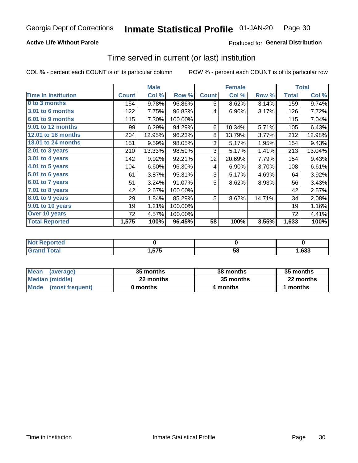### **Active Life Without Parole**

### **Produced for General Distribution**

### Time served in current (or last) institution

COL % - percent each COUNT is of its particular column

|                            |              | <b>Male</b> |         |                 | <b>Female</b> | <b>Total</b> |              |        |
|----------------------------|--------------|-------------|---------|-----------------|---------------|--------------|--------------|--------|
| <b>Time In Institution</b> | <b>Count</b> | Col %       | Row %   | <b>Count</b>    | Col %         | Row %        | <b>Total</b> | Col %  |
| 0 to 3 months              | 154          | 9.78%       | 96.86%  | 5               | 8.62%         | 3.14%        | 159          | 9.74%  |
| 3.01 to 6 months           | 122          | 7.75%       | 96.83%  | 4               | 6.90%         | 3.17%        | 126          | 7.72%  |
| 6.01 to 9 months           | 115          | 7.30%       | 100.00% |                 |               |              | 115          | 7.04%  |
| 9.01 to 12 months          | 99           | 6.29%       | 94.29%  | 6               | 10.34%        | 5.71%        | 105          | 6.43%  |
| <b>12.01 to 18 months</b>  | 204          | 12.95%      | 96.23%  | 8               | 13.79%        | 3.77%        | 212          | 12.98% |
| <b>18.01 to 24 months</b>  | 151          | 9.59%       | 98.05%  | 3               | 5.17%         | 1.95%        | 154          | 9.43%  |
| $2.01$ to 3 years          | 210          | 13.33%      | 98.59%  | 3               | 5.17%         | 1.41%        | 213          | 13.04% |
| 3.01 to 4 years            | 142          | 9.02%       | 92.21%  | 12 <sub>2</sub> | 20.69%        | 7.79%        | 154          | 9.43%  |
| $4.01$ to 5 years          | 104          | 6.60%       | 96.30%  | 4               | 6.90%         | 3.70%        | 108          | 6.61%  |
| 5.01 to 6 years            | 61           | 3.87%       | 95.31%  | 3               | 5.17%         | 4.69%        | 64           | 3.92%  |
| 6.01 to 7 years            | 51           | 3.24%       | 91.07%  | 5               | 8.62%         | 8.93%        | 56           | 3.43%  |
| 7.01 to 8 years            | 42           | 2.67%       | 100.00% |                 |               |              | 42           | 2.57%  |
| 8.01 to 9 years            | 29           | 1.84%       | 85.29%  | 5               | 8.62%         | 14.71%       | 34           | 2.08%  |
| 9.01 to 10 years           | 19           | 1.21%       | 100.00% |                 |               |              | 19           | 1.16%  |
| Over 10 years              | 72           | 4.57%       | 100.00% |                 |               |              | 72           | 4.41%  |
| <b>Total Reported</b>      | 1,575        | 100%        | 96.45%  | 58              | 100%          | 3.55%        | 1,633        | 100%   |

| <b>Not Reported</b> |              |    |      |
|---------------------|--------------|----|------|
| Total               | ドフド<br>5 I J | эŏ | ,633 |

| <b>Mean</b><br>(average) | 35 months | 38 months | 35 months |
|--------------------------|-----------|-----------|-----------|
| Median (middle)          | 22 months | 35 months | 22 months |
| Mode (most frequent)     | 0 months  | 4 months  | 1 months  |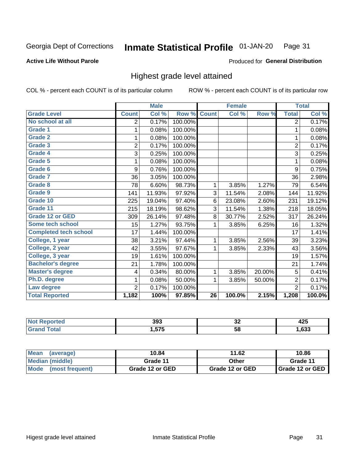#### **Inmate Statistical Profile 01-JAN-20** Page 31

#### **Active Life Without Parole**

#### Produced for General Distribution

### Highest grade level attained

COL % - percent each COUNT is of its particular column

|                              |                | <b>Male</b> |         |                 | <b>Female</b> |        |                | <b>Total</b> |
|------------------------------|----------------|-------------|---------|-----------------|---------------|--------|----------------|--------------|
| <b>Grade Level</b>           | <b>Count</b>   | Col %       | Row %   | <b>Count</b>    | Col %         | Row %  | <b>Total</b>   | Col %        |
| No school at all             | 2              | 0.17%       | 100.00% |                 |               |        | $\overline{2}$ | 0.17%        |
| <b>Grade 1</b>               | 1              | 0.08%       | 100.00% |                 |               |        | 1              | 0.08%        |
| <b>Grade 2</b>               | 1              | 0.08%       | 100.00% |                 |               |        | 1              | 0.08%        |
| <b>Grade 3</b>               | $\overline{2}$ | 0.17%       | 100.00% |                 |               |        | $\overline{2}$ | 0.17%        |
| Grade 4                      | 3              | 0.25%       | 100.00% |                 |               |        | 3              | 0.25%        |
| Grade 5                      | 1              | 0.08%       | 100.00% |                 |               |        | 1              | 0.08%        |
| Grade 6                      | 9              | 0.76%       | 100.00% |                 |               |        | 9              | 0.75%        |
| Grade 7                      | 36             | 3.05%       | 100.00% |                 |               |        | 36             | 2.98%        |
| <b>Grade 8</b>               | 78             | 6.60%       | 98.73%  | 1               | 3.85%         | 1.27%  | 79             | 6.54%        |
| Grade 9                      | 141            | 11.93%      | 97.92%  | 3               | 11.54%        | 2.08%  | 144            | 11.92%       |
| Grade 10                     | 225            | 19.04%      | 97.40%  | 6               | 23.08%        | 2.60%  | 231            | 19.12%       |
| Grade 11                     | 215            | 18.19%      | 98.62%  | 3               | 11.54%        | 1.38%  | 218            | 18.05%       |
| <b>Grade 12 or GED</b>       | 309            | 26.14%      | 97.48%  | 8               | 30.77%        | 2.52%  | 317            | 26.24%       |
| Some tech school             | 15             | 1.27%       | 93.75%  | 1               | 3.85%         | 6.25%  | 16             | 1.32%        |
| <b>Completed tech school</b> | 17             | 1.44%       | 100.00% |                 |               |        | 17             | 1.41%        |
| College, 1 year              | 38             | 3.21%       | 97.44%  | 1               | 3.85%         | 2.56%  | 39             | 3.23%        |
| College, 2 year              | 42             | 3.55%       | 97.67%  | 1               | 3.85%         | 2.33%  | 43             | 3.56%        |
| College, 3 year              | 19             | 1.61%       | 100.00% |                 |               |        | 19             | 1.57%        |
| <b>Bachelor's degree</b>     | 21             | 1.78%       | 100.00% |                 |               |        | 21             | 1.74%        |
| <b>Master's degree</b>       | 4              | 0.34%       | 80.00%  | 1               | 3.85%         | 20.00% | 5              | 0.41%        |
| Ph.D. degree                 | 1              | 0.08%       | 50.00%  | 1               | 3.85%         | 50.00% | $\overline{2}$ | 0.17%        |
| Law degree                   | $\overline{2}$ | 0.17%       | 100.00% |                 |               |        | $\overline{2}$ | 0.17%        |
| <b>Total Reported</b>        | 1,182          | 100%        | 97.85%  | $\overline{26}$ | 100.0%        | 2.15%  | 1,208          | 100.0%       |

| NO   | 393            | ^^  | .    |
|------|----------------|-----|------|
| rtec |                | ◡∠  | ╍    |
| υιαι | 575<br>כ וכ. ו | -58 | .633 |

| <b>Mean</b><br>(average) | 10.84           | 11.62           | 10.86           |
|--------------------------|-----------------|-----------------|-----------------|
| <b>Median (middle)</b>   | Grade 11        | Other           | Grade 11        |
| Mode<br>(most frequent)  | Grade 12 or GED | Grade 12 or GED | Grade 12 or GED |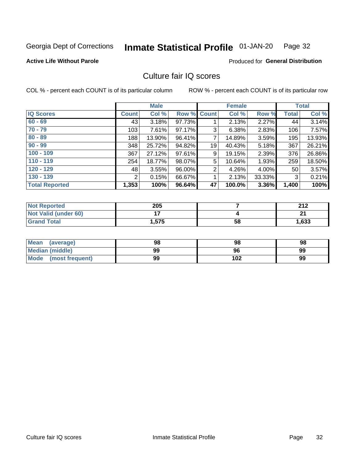#### Inmate Statistical Profile 01-JAN-20 Page 32

### **Active Life Without Parole**

Produced for General Distribution

## Culture fair IQ scores

COL % - percent each COUNT is of its particular column

|                       |              | <b>Male</b> |        |                | <b>Female</b> |        |       | <b>Total</b> |
|-----------------------|--------------|-------------|--------|----------------|---------------|--------|-------|--------------|
| <b>IQ Scores</b>      | <b>Count</b> | Col %       | Row %  | <b>Count</b>   | Col %         | Row %  | Total | Col %        |
| $60 - 69$             | 43           | 3.18%       | 97.73% |                | 2.13%         | 2.27%  | 44    | 3.14%        |
| $70 - 79$             | 103          | 7.61%       | 97.17% | 3              | 6.38%         | 2.83%  | 106   | 7.57%        |
| $80 - 89$             | 188          | 13.90%      | 96.41% | 7              | 14.89%        | 3.59%  | 195   | 13.93%       |
| $90 - 99$             | 348          | 25.72%      | 94.82% | 19             | 40.43%        | 5.18%  | 367   | 26.21%       |
| $100 - 109$           | 367          | 27.12%      | 97.61% | 9              | 19.15%        | 2.39%  | 376   | 26.86%       |
| $110 - 119$           | 254          | 18.77%      | 98.07% | 5              | 10.64%        | 1.93%  | 259   | 18.50%       |
| $120 - 129$           | 48           | 3.55%       | 96.00% | $\overline{2}$ | 4.26%         | 4.00%  | 50    | 3.57%        |
| $130 - 139$           | 2            | 0.15%       | 66.67% | 1              | 2.13%         | 33.33% | 3     | 0.21%        |
| <b>Total Reported</b> | 1,353        | 100%        | 96.64% | 47             | 100.0%        | 3.36%  | 1,400 | 100%         |

| <b>Not Reported</b>  | 205   |    | 242<br>Z I Z |
|----------------------|-------|----|--------------|
| Not Valid (under 60) |       |    | ີ            |
| Grand Total          | 1,575 | 58 | 1,633        |

| Mean<br>(average)       | 98 | 98  | 98 |
|-------------------------|----|-----|----|
| <b>Median (middle)</b>  | 99 | 96  | 99 |
| Mode<br>(most frequent) | 99 | 102 | 99 |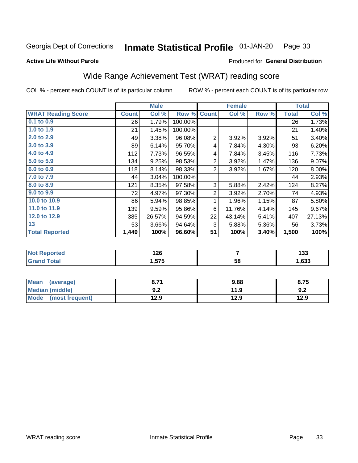#### **Inmate Statistical Profile 01-JAN-20** Page 33

#### **Active Life Without Parole**

### Produced for General Distribution

## Wide Range Achievement Test (WRAT) reading score

COL % - percent each COUNT is of its particular column

|                           |              | <b>Male</b> |         |                | <b>Female</b> | <b>Total</b> |              |        |
|---------------------------|--------------|-------------|---------|----------------|---------------|--------------|--------------|--------|
| <b>WRAT Reading Score</b> | <b>Count</b> | Col %       | Row %   | <b>Count</b>   | Col %         | Row %        | <b>Total</b> | Col %  |
| $0.1$ to $0.9$            | 26           | 1.79%       | 100.00% |                |               |              | 26           | 1.73%  |
| 1.0 to 1.9                | 21           | 1.45%       | 100.00% |                |               |              | 21           | 1.40%  |
| 2.0 to 2.9                | 49           | 3.38%       | 96.08%  | $\overline{2}$ | 3.92%         | 3.92%        | 51           | 3.40%  |
| 3.0 to 3.9                | 89           | 6.14%       | 95.70%  | 4              | 7.84%         | 4.30%        | 93           | 6.20%  |
| 4.0 to 4.9                | 112          | 7.73%       | 96.55%  | 4              | 7.84%         | 3.45%        | 116          | 7.73%  |
| 5.0 to 5.9                | 134          | 9.25%       | 98.53%  | $\overline{2}$ | 3.92%         | 1.47%        | 136          | 9.07%  |
| 6.0 to 6.9                | 118          | 8.14%       | 98.33%  | 2              | 3.92%         | 1.67%        | 120          | 8.00%  |
| 7.0 to 7.9                | 44           | 3.04%       | 100.00% |                |               |              | 44           | 2.93%  |
| 8.0 to 8.9                | 121          | 8.35%       | 97.58%  | 3              | 5.88%         | 2.42%        | 124          | 8.27%  |
| 9.0 to 9.9                | 72           | 4.97%       | 97.30%  | $\overline{2}$ | 3.92%         | 2.70%        | 74           | 4.93%  |
| 10.0 to 10.9              | 86           | 5.94%       | 98.85%  | 1              | 1.96%         | 1.15%        | 87           | 5.80%  |
| 11.0 to 11.9              | 139          | 9.59%       | 95.86%  | 6              | 11.76%        | 4.14%        | 145          | 9.67%  |
| 12.0 to 12.9              | 385          | 26.57%      | 94.59%  | 22             | 43.14%        | 5.41%        | 407          | 27.13% |
| 13                        | 53           | 3.66%       | 94.64%  | 3              | 5.88%         | 5.36%        | 56           | 3.73%  |
| <b>Total Reported</b>     | 1,449        | 100%        | 96.60%  | 51             | 100%          | 3.40%        | 1,500        | 100%   |

| <b>Not Reported</b> | 126   |    | .<br>ניט |
|---------------------|-------|----|----------|
| <b>Total</b>        | .,575 | 58 | .,633    |

| <b>Mean</b><br>(average)       | גי כ<br>o. / I     | 9.88 | 8.75 |
|--------------------------------|--------------------|------|------|
| Median (middle)                | י ה<br><u> ม.∠</u> | 11.9 | 9.2  |
| <b>Mode</b><br>(most frequent) | 12.9               | 12.9 | 12.9 |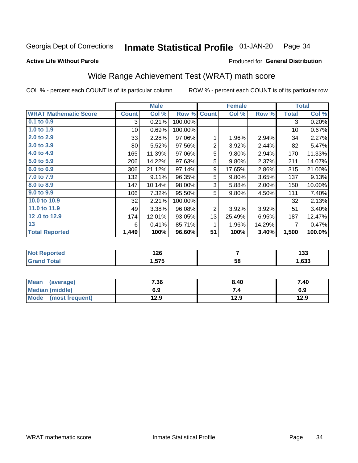#### Inmate Statistical Profile 01-JAN-20 Page 34

#### **Active Life Without Parole**

### Produced for General Distribution

## Wide Range Achievement Test (WRAT) math score

COL % - percent each COUNT is of its particular column

|                              |              | <b>Male</b> |         |                | <b>Female</b> |        |              | <b>Total</b> |
|------------------------------|--------------|-------------|---------|----------------|---------------|--------|--------------|--------------|
| <b>WRAT Mathematic Score</b> | <b>Count</b> | Col %       | Row %   | <b>Count</b>   | Col %         | Row %  | <b>Total</b> | Col %        |
| 0.1 to 0.9                   | 3            | 0.21%       | 100.00% |                |               |        | 3            | 0.20%        |
| 1.0 to 1.9                   | 10           | 0.69%       | 100.00% |                |               |        | 10           | 0.67%        |
| 2.0 to 2.9                   | 33           | 2.28%       | 97.06%  | 1              | 1.96%         | 2.94%  | 34           | 2.27%        |
| 3.0 to 3.9                   | 80           | 5.52%       | 97.56%  | $\overline{2}$ | 3.92%         | 2.44%  | 82           | 5.47%        |
| 4.0 to 4.9                   | 165          | 11.39%      | 97.06%  | 5              | 9.80%         | 2.94%  | 170          | 11.33%       |
| 5.0 to 5.9                   | 206          | 14.22%      | 97.63%  | 5              | 9.80%         | 2.37%  | 211          | 14.07%       |
| 6.0 to 6.9                   | 306          | 21.12%      | 97.14%  | 9              | 17.65%        | 2.86%  | 315          | 21.00%       |
| 7.0 to 7.9                   | 132          | 9.11%       | 96.35%  | 5              | 9.80%         | 3.65%  | 137          | 9.13%        |
| 8.0 to 8.9                   | 147          | 10.14%      | 98.00%  | 3              | 5.88%         | 2.00%  | 150          | 10.00%       |
| 9.0 to 9.9                   | 106          | 7.32%       | 95.50%  | 5              | 9.80%         | 4.50%  | 111          | 7.40%        |
| 10.0 to 10.9                 | 32           | 2.21%       | 100.00% |                |               |        | 32           | 2.13%        |
| 11.0 to 11.9                 | 49           | 3.38%       | 96.08%  | 2              | 3.92%         | 3.92%  | 51           | 3.40%        |
| 12.0 to 12.9                 | 174          | 12.01%      | 93.05%  | 13             | 25.49%        | 6.95%  | 187          | 12.47%       |
| 13                           | 6            | 0.41%       | 85.71%  | 1              | 1.96%         | 14.29% | 7            | 0.47%        |
| <b>Total Reported</b>        | 1,449        | 100%        | 96.60%  | 51             | 100%          | 3.40%  | 1,500        | 100.0%       |

| νrτea<br><b>NOT</b> | 126  |    | .<br>193 |
|---------------------|------|----|----------|
| $\sim$              | .575 | 58 | ,633     |

| Mean<br>(average)    | 7.36 | 8.40 | 7.40 |
|----------------------|------|------|------|
| Median (middle)      | 6.9  | 7.4  | 6.9  |
| Mode (most frequent) | 12.9 | 12.9 | 12.9 |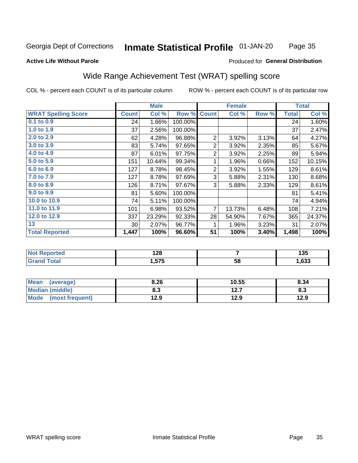## Inmate Statistical Profile 01-JAN-20

Page 35

#### **Active Life Without Parole**

#### Produced for General Distribution

## Wide Range Achievement Test (WRAT) spelling score

COL % - percent each COUNT is of its particular column

|                            |              | <b>Male</b> |         | <b>Female</b>  |        |       | <b>Total</b> |        |
|----------------------------|--------------|-------------|---------|----------------|--------|-------|--------------|--------|
| <b>WRAT Spelling Score</b> | <b>Count</b> | Col %       | Row %   | <b>Count</b>   | Col %  | Row % | <b>Total</b> | Col %  |
| $0.1$ to $0.9$             | 24           | 1.66%       | 100.00% |                |        |       | 24           | 1.60%  |
| 1.0 to 1.9                 | 37           | 2.56%       | 100.00% |                |        |       | 37           | 2.47%  |
| 2.0 to 2.9                 | 62           | 4.28%       | 96.88%  | $\overline{2}$ | 3.92%  | 3.13% | 64           | 4.27%  |
| 3.0 to 3.9                 | 83           | 5.74%       | 97.65%  | $\overline{2}$ | 3.92%  | 2.35% | 85           | 5.67%  |
| 4.0 to 4.9                 | 87           | 6.01%       | 97.75%  | $\overline{2}$ | 3.92%  | 2.25% | 89           | 5.94%  |
| 5.0 to 5.9                 | 151          | 10.44%      | 99.34%  | 1              | 1.96%  | 0.66% | 152          | 10.15% |
| 6.0 to 6.9                 | 127          | 8.78%       | 98.45%  | $\overline{2}$ | 3.92%  | 1.55% | 129          | 8.61%  |
| 7.0 to 7.9                 | 127          | 8.78%       | 97.69%  | 3              | 5.88%  | 2.31% | 130          | 8.68%  |
| 8.0 to 8.9                 | 126          | 8.71%       | 97.67%  | 3              | 5.88%  | 2.33% | 129          | 8.61%  |
| 9.0 to 9.9                 | 81           | 5.60%       | 100.00% |                |        |       | 81           | 5.41%  |
| 10.0 to 10.9               | 74           | 5.11%       | 100.00% |                |        |       | 74           | 4.94%  |
| 11.0 to 11.9               | 101          | 6.98%       | 93.52%  | $\overline{7}$ | 13.73% | 6.48% | 108          | 7.21%  |
| 12.0 to 12.9               | 337          | 23.29%      | 92.33%  | 28             | 54.90% | 7.67% | 365          | 24.37% |
| 13                         | 30           | 2.07%       | 96.77%  | 1              | 1.96%  | 3.23% | 31           | 2.07%  |
| <b>Total Reported</b>      | 1,447        | 100%        | 96.60%  | 51             | 100%   | 3.40% | 1,498        | 100%   |
|                            |              |             |         |                |        |       |              |        |

| <b>Not Reported</b>           | ס ר<br>1 Z O |    | <b>ACT</b><br>טטו |
|-------------------------------|--------------|----|-------------------|
| <b>Total</b><br><b>'Grand</b> | 1,575        | 58 | 1,633             |

| Mean (average)         | 8.26 | 10.55 | 8.34 |
|------------------------|------|-------|------|
| <b>Median (middle)</b> | 8.3  | 12.7  | 8.3  |
| Mode (most frequent)   | 12.9 | 12.9  | 12.9 |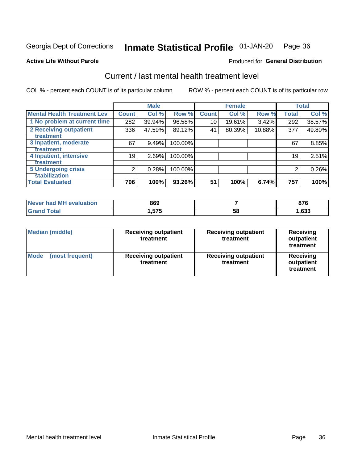#### Inmate Statistical Profile 01-JAN-20 Page 36

#### **Active Life Without Parole**

## **Produced for General Distribution**

## Current / last mental health treatment level

COL % - percent each COUNT is of its particular column

|                                    |              | <b>Male</b> |         |              | <b>Female</b> |        |              | <b>Total</b> |
|------------------------------------|--------------|-------------|---------|--------------|---------------|--------|--------------|--------------|
| <b>Mental Health Treatment Lev</b> | <b>Count</b> | Col %       | Row %   | <b>Count</b> | Col %         | Row %  | <b>Total</b> | Col %        |
| 1 No problem at current time       | 282          | 39.94%      | 96.58%  | 10           | 19.61%        | 3.42%  | 292          | 38.57%       |
| 2 Receiving outpatient             | 336          | 47.59%      | 89.12%  | 41           | 80.39%        | 10.88% | 377          | 49.80%       |
| <b>Treatment</b>                   |              |             |         |              |               |        |              |              |
| 3 Inpatient, moderate              | 67           | 9.49%       | 100.00% |              |               |        | 67           | 8.85%        |
| <b>Treatment</b>                   |              |             |         |              |               |        |              |              |
| 4 Inpatient, intensive             | 19           | 2.69%       | 100.00% |              |               |        | 19           | 2.51%        |
| Treatment                          |              |             |         |              |               |        |              |              |
| <b>5 Undergoing crisis</b>         | 2            | 0.28%       | 100.00% |              |               |        | 2            | 0.26%        |
| <b>stabilization</b>               |              |             |         |              |               |        |              |              |
| <b>Total Evaluated</b>             | 706          | 100%        | 93.26%  | 51           | 100%          | 6.74%  | 757          | 100%         |

| <b>evaluation</b><br>I Never had MH | 869           |    | ~-~<br>v 1 v |
|-------------------------------------|---------------|----|--------------|
| $f \wedge f \wedge f$               | 575<br>1.JI J | 58 | ,633         |

| <b>Median (middle)</b>         | <b>Receiving outpatient</b><br>treatment | <b>Receiving outpatient</b><br>treatment | <b>Receiving</b><br>outpatient<br>treatment |  |
|--------------------------------|------------------------------------------|------------------------------------------|---------------------------------------------|--|
| <b>Mode</b><br>(most frequent) | <b>Receiving outpatient</b><br>treatment | <b>Receiving outpatient</b><br>treatment | <b>Receiving</b><br>outpatient<br>treatment |  |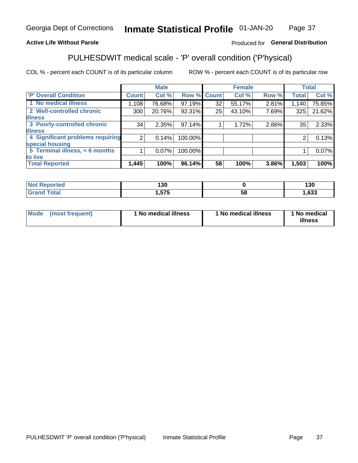#### Inmate Statistical Profile 01-JAN-20 Page 37

### **Active Life Without Parole**

### Produced for General Distribution

## PULHESDWIT medical scale - 'P' overall condition ('P'hysical)

COL % - percent each COUNT is of its particular column

|                                  |                | <b>Male</b> |             |    | <b>Female</b> |       |                 | <b>Total</b> |
|----------------------------------|----------------|-------------|-------------|----|---------------|-------|-----------------|--------------|
| 'P' Overall Condition            | Count l        | Col %       | Row % Count |    | Col %         | Row % | <b>Total</b>    | Col %        |
| 1 No medical illness             | 1,108          | 76.68%      | 97.19%      | 32 | 55.17%        | 2.81% | 1,140           | 75.85%       |
| 2 Well-controlled chronic        | 300            | 20.76%      | 92.31%      | 25 | 43.10%        | 7.69% | 325             | 21.62%       |
| <b>illness</b>                   |                |             |             |    |               |       |                 |              |
| 3 Poorly-controlled chronic      | 34             | 2.35%       | 97.14%      |    | 1.72%         | 2.86% | 35 <sub>1</sub> | 2.33%        |
| <b>illness</b>                   |                |             |             |    |               |       |                 |              |
| 4 Significant problems requiring | 2 <sub>1</sub> | 0.14%       | 100.00%     |    |               |       | 2               | 0.13%        |
| special housing                  |                |             |             |    |               |       |                 |              |
| 5 Terminal illness, < 6 months   |                | $0.07\%$    | 100.00%     |    |               |       |                 | 0.07%        |
| to live                          |                |             |             |    |               |       |                 |              |
| <b>Total Reported</b>            | 1,445          | 100%        | 96.14%      | 58 | 100%          | 3.86% | 1,503           | 100%         |

| rtea  | ィっハ          |    | 10N  |
|-------|--------------|----|------|
|       | 7 JU         |    | טט ו |
| _____ | ETE<br>ט וטו | ၁၀ | ,633 |

|  |  | Mode (most frequent) | 1 No medical illness | 1 No medical illness | 1 No medical<br>illness |
|--|--|----------------------|----------------------|----------------------|-------------------------|
|--|--|----------------------|----------------------|----------------------|-------------------------|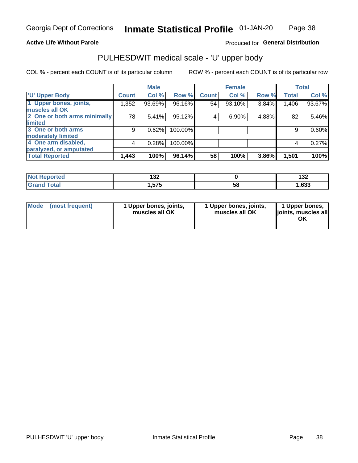### **Active Life Without Parole**

### Produced for General Distribution

## PULHESDWIT medical scale - 'U' upper body

COL % - percent each COUNT is of its particular column

|                              |                | <b>Male</b> |         |              | <b>Female</b> |       |              | <b>Total</b> |
|------------------------------|----------------|-------------|---------|--------------|---------------|-------|--------------|--------------|
| <b>'U' Upper Body</b>        | <b>Count</b>   | Col %       | Row %   | <b>Count</b> | Col %         | Row % | <b>Total</b> | Col %        |
| 1 Upper bones, joints,       | 1,352          | 93.69%      | 96.16%  | 54           | 93.10%        | 3.84% | 1,406        | 93.67%       |
| muscles all OK               |                |             |         |              |               |       |              |              |
| 2 One or both arms minimally | 78             | 5.41%       | 95.12%  | 4            | 6.90%         | 4.88% | 82           | 5.46%        |
| limited                      |                |             |         |              |               |       |              |              |
| 3 One or both arms           | 9              | 0.62%       | 100.00% |              |               |       | 9            | 0.60%        |
| <b>moderately limited</b>    |                |             |         |              |               |       |              |              |
| 4 One arm disabled,          | $\overline{4}$ | 0.28%       | 100.00% |              |               |       | 4            | 0.27%        |
| paralyzed, or amputated      |                |             |         |              |               |       |              |              |
| <b>Total Reported</b>        | 1,443          | 100%        | 96.14%  | 58           | 100%          | 3.86% | 1,501        | 100%         |

| <b>Not Reported</b> | ,,,<br>70 I |    | .<br><b>_</b> u |
|---------------------|-------------|----|-----------------|
| <b>Total</b>        | 575<br>ט וט | 58 | ,633            |

| <b>Mode</b> | (most frequent) | 1 Upper bones, joints,<br>muscles all OK | 1 Upper bones, joints,<br>muscles all OK | 1 Upper bones,<br>ljoints, muscles all<br>ОK |
|-------------|-----------------|------------------------------------------|------------------------------------------|----------------------------------------------|
|-------------|-----------------|------------------------------------------|------------------------------------------|----------------------------------------------|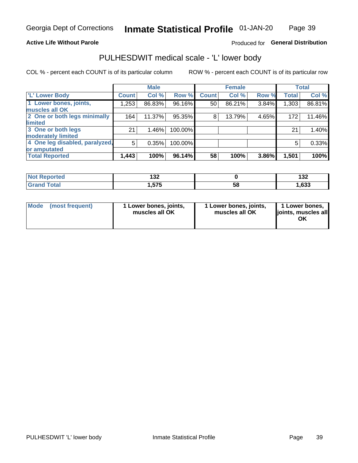### **Active Life Without Parole**

### Produced for General Distribution

## PULHESDWIT medical scale - 'L' lower body

COL % - percent each COUNT is of its particular column

|                                |              | <b>Male</b> |           |              | <b>Female</b> |       |              | <b>Total</b> |
|--------------------------------|--------------|-------------|-----------|--------------|---------------|-------|--------------|--------------|
| 'L' Lower Body                 | <b>Count</b> | Col %       | Row %     | <b>Count</b> | Col %         | Row % | <b>Total</b> | Col %        |
| 1 Lower bones, joints,         | 1,253        | 86.83%      | $96.16\%$ | 50           | 86.21%        | 3.84% | 1,303        | 86.81%       |
| muscles all OK                 |              |             |           |              |               |       |              |              |
| 2 One or both legs minimally   | 164          | 11.37%      | 95.35%    | 8            | 13.79%        | 4.65% | 172          | 11.46%       |
| limited                        |              |             |           |              |               |       |              |              |
| 3 One or both legs             | 21           | 1.46%       | 100.00%   |              |               |       | 21           | 1.40%        |
| moderately limited             |              |             |           |              |               |       |              |              |
| 4 One leg disabled, paralyzed, | 5            | 0.35%       | 100.00%   |              |               |       | 5            | 0.33%        |
| or amputated                   |              |             |           |              |               |       |              |              |
| <b>Total Reported</b>          | 1,443        | 100%        | 96.14%    | 58           | 100%          | 3.86% | 1,501        | 100%         |

| <b>Not Reported</b> | ,,,<br>70 I |    | .<br><b>_</b> u |
|---------------------|-------------|----|-----------------|
| <b>Total</b>        | 575<br>ט וט | 58 | ,633            |

|  | Mode (most frequent) | 1 Lower bones, joints,<br>muscles all OK | 1 Lower bones, joints,<br>muscles all OK | 1 Lower bones,<br>ljoints, muscles all<br>OK |
|--|----------------------|------------------------------------------|------------------------------------------|----------------------------------------------|
|--|----------------------|------------------------------------------|------------------------------------------|----------------------------------------------|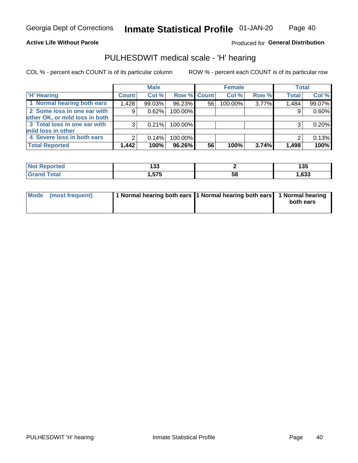Page 40

#### **Active Life Without Parole**

Produced for General Distribution

## PULHESDWIT medical scale - 'H' hearing

COL % - percent each COUNT is of its particular column

|                                |              | <b>Male</b> |             |    | <b>Female</b> |       | <b>Total</b> |        |
|--------------------------------|--------------|-------------|-------------|----|---------------|-------|--------------|--------|
| <b>H' Hearing</b>              | <b>Count</b> | Col %       | Row % Count |    | Col %         | Row % | <b>Total</b> | Col %  |
| 1 Normal hearing both ears     | 1,428        | 99.03%      | 96.23%      | 56 | 100.00%       | 3.77% | 1,484        | 99.07% |
| 2 Some loss in one ear with    | 9            | 0.62%       | 100.00%     |    |               |       | 9            | 0.60%  |
| other OK, or mild loss in both |              |             |             |    |               |       |              |        |
| 3 Total loss in one ear with   | 3            | 0.21%       | 100.00%     |    |               |       | 3            | 0.20%  |
| mild loss in other             |              |             |             |    |               |       |              |        |
| 4 Severe loss in both ears     | 2            | 0.14%       | 100.00%     |    |               |       | ⌒            | 0.13%  |
| <b>Total Reported</b>          | 1,442        | 100%        | 96.26%      | 56 | 100%          | 3.74% | 1,498        | 100%   |

| and an address of<br>N<br>Teo | .<br>טעו |    | 135  |
|-------------------------------|----------|----|------|
| _____                         | ---      | ວະ | ,633 |

| Mode (most frequent) | 1 Normal hearing both ears 1 Normal hearing both ears 1 Normal hearing | both ears |
|----------------------|------------------------------------------------------------------------|-----------|
|                      |                                                                        |           |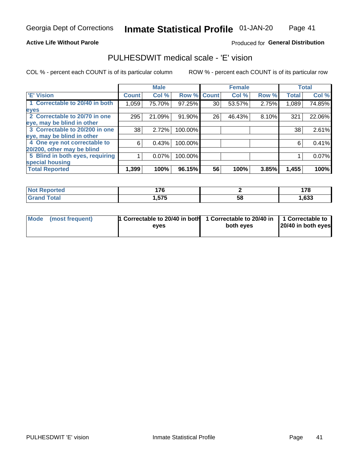Page 41

#### **Active Life Without Parole**

### Produced for General Distribution

## PULHESDWIT medical scale - 'E' vision

COL % - percent each COUNT is of its particular column

|                                 |                    | <b>Male</b> |         |             | <b>Female</b> |       |              | <b>Total</b> |
|---------------------------------|--------------------|-------------|---------|-------------|---------------|-------|--------------|--------------|
| 'E' Vision                      | Count <sup>'</sup> | Col %       |         | Row % Count | Col %         | Row % | <b>Total</b> | Col %        |
| 1 Correctable to 20/40 in both  | 1,059              | 75.70%      | 97.25%  | 30          | 53.57%        | 2.75% | 1,089        | 74.85%       |
| eyes                            |                    |             |         |             |               |       |              |              |
| 2 Correctable to 20/70 in one   | 295                | 21.09%      | 91.90%  | 26          | 46.43%        | 8.10% | 321          | 22.06%       |
| eye, may be blind in other      |                    |             |         |             |               |       |              |              |
| 3 Correctable to 20/200 in one  | 38                 | 2.72%       | 100.00% |             |               |       | 38           | 2.61%        |
| eye, may be blind in other      |                    |             |         |             |               |       |              |              |
| 4 One eye not correctable to    | 6                  | 0.43%       | 100.00% |             |               |       | 6            | 0.41%        |
| 20/200, other may be blind      |                    |             |         |             |               |       |              |              |
| 5 Blind in both eyes, requiring |                    | 0.07%       | 100.00% |             |               |       |              | $0.07\%$     |
| special housing                 |                    |             |         |             |               |       |              |              |
| <b>Total Reported</b>           | 1,399              | 100%        | 96.15%  | 56          | 100%          | 3.85% | 1,455        | 100%         |

| norted       | 47C       |    | $\rightarrow$ |
|--------------|-----------|----|---------------|
| .            | <u>,,</u> |    | <u></u>       |
| <b>Total</b> | 1.575     | 58 | ,633          |

| Mode (most frequent) | 1 Correctable to 20/40 in both<br>eves | 1 Correctable to 20/40 in   1 Correctable to  <br>both eyes | 20/40 in both eyes |  |
|----------------------|----------------------------------------|-------------------------------------------------------------|--------------------|--|
|                      |                                        |                                                             |                    |  |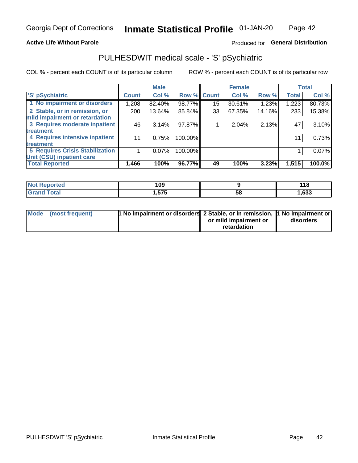### **Active Life Without Parole**

### Produced for General Distribution

## PULHESDWIT medical scale - 'S' pSychiatric

COL % - percent each COUNT is of its particular column

|                                        |              | <b>Male</b> |         |             | <b>Female</b> |        |              | <b>Total</b> |
|----------------------------------------|--------------|-------------|---------|-------------|---------------|--------|--------------|--------------|
| 'S' pSychiatric                        | <b>Count</b> | Col %       |         | Row % Count | Col %         | Row %  | <b>Total</b> | Col %        |
| 1 No impairment or disorders           | 1,208        | 82.40%      | 98.77%  | 15          | 30.61%        | 1.23%  | 1,223        | 80.73%       |
| 2 Stable, or in remission, or          | 200          | 13.64%      | 85.84%  | 33          | 67.35%        | 14.16% | 233          | 15.38%       |
| mild impairment or retardation         |              |             |         |             |               |        |              |              |
| 3 Requires moderate inpatient          | 46           | 3.14%       | 97.87%  |             | 2.04%         | 2.13%  | 47           | 3.10%        |
| treatment                              |              |             |         |             |               |        |              |              |
| 4 Requires intensive inpatient         | 11           | 0.75%       | 100.00% |             |               |        | 11           | 0.73%        |
| treatment                              |              |             |         |             |               |        |              |              |
| <b>5 Requires Crisis Stabilization</b> |              | $0.07\%$    | 100.00% |             |               |        |              | 0.07%        |
| Unit (CSU) inpatient care              |              |             |         |             |               |        |              |              |
| <b>Total Reported</b>                  | 1,466        | 100%        | 96.77%  | 49          | 100%          | 3.23%  | 1,515        | 100.0%       |

| <b>Not Reported</b>  | 109    |    | 44C<br><u> 1 1 0</u> |
|----------------------|--------|----|----------------------|
| <b>Total</b><br>CHOM | 575, ا | ວະ | ,633                 |

| Mode (most frequent) | <b>1 No impairment or disorders</b> 2 Stable, or in remission, 11 No impairment or |                       |           |
|----------------------|------------------------------------------------------------------------------------|-----------------------|-----------|
|                      |                                                                                    | or mild impairment or | disorders |
|                      |                                                                                    | retardation           |           |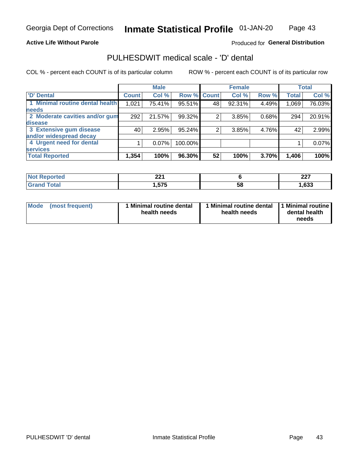Page 43

### **Active Life Without Parole**

### Produced for General Distribution

## PULHESDWIT medical scale - 'D' dental

COL % - percent each COUNT is of its particular column

|                                 |              | <b>Male</b> |         |              | <b>Female</b> |       |              | <b>Total</b> |
|---------------------------------|--------------|-------------|---------|--------------|---------------|-------|--------------|--------------|
| <b>D'</b> Dental                | <b>Count</b> | Col %       | Row %   | <b>Count</b> | Col %         | Row % | <b>Total</b> | Col %        |
| 1 Minimal routine dental health | 1,021        | 75.41%      | 95.51%  | 48           | 92.31%        | 4.49% | 1,069        | 76.03%       |
| <b>needs</b>                    |              |             |         |              |               |       |              |              |
| 2 Moderate cavities and/or gum  | 292          | 21.57%      | 99.32%  |              | 3.85%         | 0.68% | 294          | 20.91%       |
| disease                         |              |             |         |              |               |       |              |              |
| 3 Extensive gum disease         | 40           | 2.95%       | 95.24%  | 2            | 3.85%         | 4.76% | 42           | 2.99%        |
| and/or widespread decay         |              |             |         |              |               |       |              |              |
| 4 Urgent need for dental        |              | $0.07\%$    | 100.00% |              |               |       |              | 0.07%        |
| <b>services</b>                 |              |             |         |              |               |       |              |              |
| <b>Total Reported</b>           | 1,354        | 100%        | 96.30%  | 52           | 100%          | 3.70% | 1,406        | 100%         |

| orted    | ົດດ          |    | כמה  |
|----------|--------------|----|------|
| NOT RADO | ▴▴           |    | LL I |
| .        |              |    |      |
| Total    | 575<br>ט ויט | 58 | ,633 |

| Mode | (most frequent) | <b>Minimal routine dental</b><br>health needs | 1 Minimal routine dental<br>health needs | 11 Minimal routine<br>dental health<br>needs |
|------|-----------------|-----------------------------------------------|------------------------------------------|----------------------------------------------|
|------|-----------------|-----------------------------------------------|------------------------------------------|----------------------------------------------|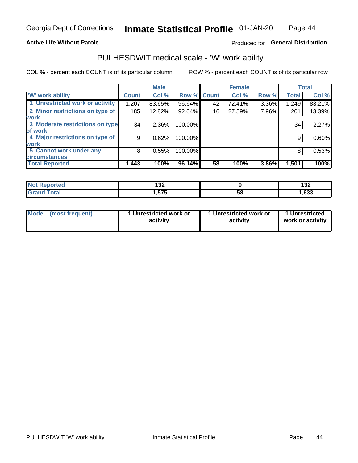### **Active Life Without Parole**

### Produced for General Distribution

### PULHESDWIT medical scale - 'W' work ability

COL % - percent each COUNT is of its particular column

|                                 |              | <b>Male</b> |         |             | <b>Female</b> |       |              | <b>Total</b> |
|---------------------------------|--------------|-------------|---------|-------------|---------------|-------|--------------|--------------|
| <b>W' work ability</b>          | <b>Count</b> | Col %       |         | Row % Count | Col %         | Row % | <b>Total</b> | Col %        |
| 1 Unrestricted work or activity | 1,207        | 83.65%      | 96.64%  | 42          | 72.41%        | 3.36% | 1,249        | 83.21%       |
| 2 Minor restrictions on type of | 185          | 12.82%      | 92.04%  | 16          | 27.59%        | 7.96% | 201          | 13.39%       |
| <b>work</b>                     |              |             |         |             |               |       |              |              |
| 3 Moderate restrictions on type | 34           | 2.36%       | 100.00% |             |               |       | 34           | 2.27%        |
| lof work                        |              |             |         |             |               |       |              |              |
| 4 Major restrictions on type of | 9            | 0.62%       | 100.00% |             |               |       | 9            | 0.60%        |
| <b>work</b>                     |              |             |         |             |               |       |              |              |
| 5 Cannot work under any         | 8            | 0.55%       | 100.00% |             |               |       | 8            | 0.53%        |
| <b>circumstances</b>            |              |             |         |             |               |       |              |              |
| <b>Total Reported</b>           | 1,443        | 100%        | 96.14%  | 58          | 100%          | 3.86% | 1,501        | 100%         |

| <b>Not Reported</b> | 199<br>ـ/ J  |    | ,<br>IJL |
|---------------------|--------------|----|----------|
| <b>Grand Total</b>  | 575<br>. טוי | 58 | 633, ا   |

| <b>Mode</b>     | 1 Unrestricted work or | 1 Unrestricted work or | 1 Unrestricted   |
|-----------------|------------------------|------------------------|------------------|
| (most frequent) | activity               | activity               | work or activity |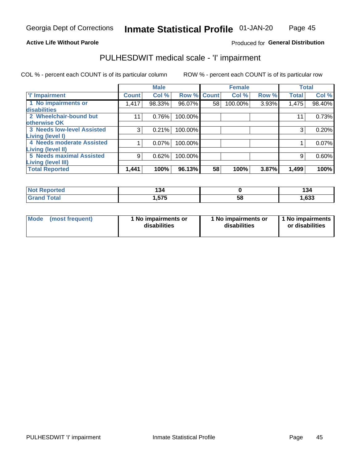### Page 45

### **Active Life Without Parole**

### Produced for General Distribution

## PULHESDWIT medical scale - 'I' impairment

|                                                              |              | <b>Male</b> |                    |    | <b>Female</b> |       | <b>Total</b> |        |
|--------------------------------------------------------------|--------------|-------------|--------------------|----|---------------|-------|--------------|--------|
| <b>T' Impairment</b>                                         | <b>Count</b> | Col %       | <b>Row % Count</b> |    | Col %         | Row % | <b>Total</b> | Col %  |
| 1 No impairments or<br>disabilities                          | 1,417        | 98.33%      | 96.07%             | 58 | 100.00%       | 3.93% | 1,475        | 98.40% |
| 2 Wheelchair-bound but<br>otherwise OK                       |              | 0.76%       | 100.00%            |    |               |       | 11           | 0.73%  |
| <b>3 Needs low-level Assisted</b><br>Living (level I)        | 3            | 0.21%       | 100.00%            |    |               |       | 3            | 0.20%  |
| 4 Needs moderate Assisted<br><b>Living (level II)</b>        |              | 0.07%       | 100.00%            |    |               |       |              | 0.07%  |
| <b>5 Needs maximal Assisted</b><br><b>Living (level III)</b> | 9            | 0.62%       | 100.00%            |    |               |       | 9            | 0.60%  |
| <b>Total Reported</b>                                        | 1,441        | 100%        | 96.13%             | 58 | 100%          | 3.87% | 1,499        | 100%   |

| eported      | $\sim$<br>◡<br>___ |    | . .<br>194 |
|--------------|--------------------|----|------------|
| <b>cotal</b> | .575               | Ⴢჾ | 1,633      |

| Mode | (most frequent) | 1 No impairments or<br>disabilities | 1 No impairments or<br>disabilities | 1 No impairments<br>or disabilities |
|------|-----------------|-------------------------------------|-------------------------------------|-------------------------------------|
|------|-----------------|-------------------------------------|-------------------------------------|-------------------------------------|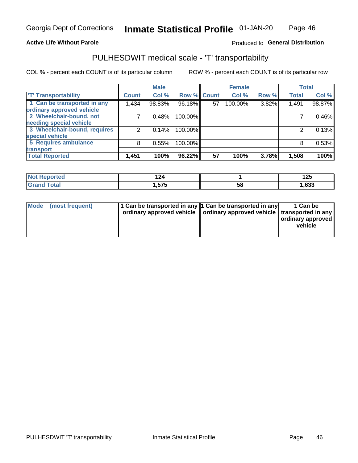### **Active Life Without Parole**

### Produced fo General Distribution

## PULHESDWIT medical scale - 'T' transportability

COL % - percent each COUNT is of its particular column

|                              |              | <b>Male</b> |             |    | <b>Female</b> |       |              | <b>Total</b> |
|------------------------------|--------------|-------------|-------------|----|---------------|-------|--------------|--------------|
| <b>T' Transportability</b>   | <b>Count</b> | Col %       | Row % Count |    | Col %         | Row % | <b>Total</b> | Col %        |
| 1 Can be transported in any  | 1,434        | 98.83%      | 96.18%      | 57 | 100.00%       | 3.82% | 1,491        | 98.87%       |
| ordinary approved vehicle    |              |             |             |    |               |       |              |              |
| 2 Wheelchair-bound, not      |              | 0.48%       | 100.00%     |    |               |       |              | 0.46%        |
| needing special vehicle      |              |             |             |    |               |       |              |              |
| 3 Wheelchair-bound, requires |              | 0.14%       | 100.00%     |    |               |       |              | 0.13%        |
| special vehicle              |              |             |             |    |               |       |              |              |
| 5 Requires ambulance         | 8            | 0.55%       | 100.00%     |    |               |       |              | 0.53%        |
| transport                    |              |             |             |    |               |       |              |              |
| <b>Total Reported</b>        | 1,451        | 100%        | 96.22%      | 57 | 100%          | 3.78% | 1,508        | 100%         |

| neo | --            |    | 12F<br><u>.</u> |
|-----|---------------|----|-----------------|
|     | ----<br>l.575 | วด | ,633            |

| <b>Mode</b> | (most frequent) | 1 Can be transported in any 1 Can be transported in any | ordinary approved vehicle   ordinary approved vehicle   transported in any | 1 Can be<br>  ordinary approved  <br>vehicle |
|-------------|-----------------|---------------------------------------------------------|----------------------------------------------------------------------------|----------------------------------------------|
|-------------|-----------------|---------------------------------------------------------|----------------------------------------------------------------------------|----------------------------------------------|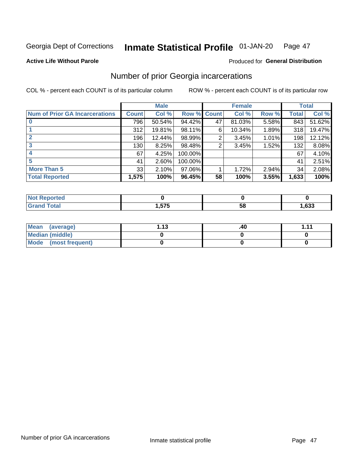#### Inmate Statistical Profile 01-JAN-20 Page 47

**Active Life Without Parole** 

**Produced for General Distribution** 

### Number of prior Georgia incarcerations

COL % - percent each COUNT is of its particular column

|                                       |              | <b>Male</b> |                    |    | <b>Female</b> |       |       | <b>Total</b> |
|---------------------------------------|--------------|-------------|--------------------|----|---------------|-------|-------|--------------|
| <b>Num of Prior GA Incarcerations</b> | <b>Count</b> | Col %       | <b>Row % Count</b> |    | Col %         | Row % | Total | Col %        |
|                                       | 796          | 50.54%      | 94.42%             | 47 | 81.03%        | 5.58% | 843   | 51.62%       |
|                                       | 312          | 19.81%      | 98.11%             | 6  | 10.34%        | 1.89% | 318   | 19.47%       |
|                                       | 196          | 12.44%      | 98.99%             | 2  | 3.45%         | 1.01% | 198   | 12.12%       |
| 3                                     | 130          | 8.25%       | 98.48%             | 2  | 3.45%         | 1.52% | 132   | 8.08%        |
|                                       | 67           | 4.25%       | 100.00%            |    |               |       | 67    | 4.10%        |
| 5                                     | 41           | 2.60%       | 100.00%            |    |               |       | 41    | 2.51%        |
| <b>More Than 5</b>                    | 33           | 2.10%       | 97.06%             |    | 1.72%         | 2.94% | 34    | 2.08%        |
| <b>Total Reported</b>                 | 1,575        | 100%        | 96.45%             | 58 | 100%          | 3.55% | 1,633 | 100%         |

| orted            |      |      |      |
|------------------|------|------|------|
| <b>otal</b>      | ---- | - 12 | ,633 |
| $\mathbf{v}$ and | . .  | JL   |      |

| Mean (average)       | 1 1 2 | .40 | 444 |
|----------------------|-------|-----|-----|
| Median (middle)      |       |     |     |
| Mode (most frequent) |       |     |     |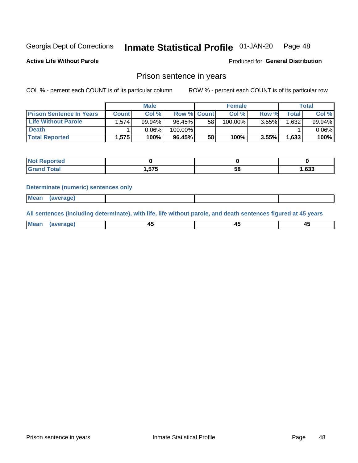#### Inmate Statistical Profile 01-JAN-20 Page 48

**Active Life Without Parole** 

Produced for General Distribution

### Prison sentence in years

COL % - percent each COUNT is of its particular column

ROW % - percent each COUNT is of its particular row

|                                 |              | <b>Male</b> |                    |    | <b>Female</b> |       |       | <b>Total</b> |
|---------------------------------|--------------|-------------|--------------------|----|---------------|-------|-------|--------------|
| <b>Prison Sentence In Years</b> | <b>Count</b> | Col %       | <b>Row % Count</b> |    | Col %         | Row % | Total | Col %        |
| <b>Life Without Parole</b>      | .574         | 99.94%      | $96.45\%$          | 58 | $100.00\%$    | 3.55% | 1.632 | $99.94\%$    |
| <b>Death</b>                    |              | 0.06%       | 100.00%            |    |               |       |       | $0.06\%$     |
| <b>Total Reported</b>           | 1.575        | 100%        | $96.45\%$          | 58 | 100%          | 3.55% | 1.633 | 100%         |

| τeα         |      |    |      |
|-------------|------|----|------|
| <b>otal</b> | .575 | эс | ,633 |

#### **Determinate (numeric) sentences only**

| ' Mea<br><b>Service</b> A<br>ЯМА. |  |  |  |
|-----------------------------------|--|--|--|
|                                   |  |  |  |

All sentences (including determinate), with life, life without parole, and death sentences figured at 45 years

| Me: |  |  |  |
|-----|--|--|--|
|     |  |  |  |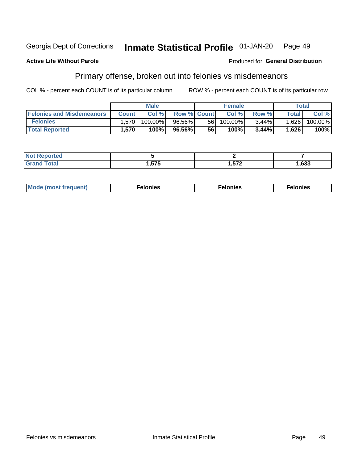#### **Georgia Dept of Corrections** Inmate Statistical Profile 01-JAN-20 Page 49

#### **Active Life Without Parole**

#### Produced for General Distribution

## Primary offense, broken out into felonies vs misdemeanors

COL % - percent each COUNT is of its particular column

|                                  |                   | <b>Male</b> |                    |    | <b>Female</b> |          |                    | Total   |
|----------------------------------|-------------------|-------------|--------------------|----|---------------|----------|--------------------|---------|
| <b>Felonies and Misdemeanors</b> | <b>Count</b>      | Col%        | <b>Row % Count</b> |    | Col%          | Row %    | Total <sub>1</sub> | Col %   |
| <b>Felonies</b>                  | .570              | 100.00%     | 96.56%             | 56 | 100.00%       | $3.44\%$ | 1,626              | 100.00% |
| <b>Total Reported</b>            | .570 <sup>°</sup> | 100%        | 96.56%             | 56 | 100%          | 3.44%    | 1,626              | 100%    |

| <b>Not Reported</b>          |          |                 |            |
|------------------------------|----------|-----------------|------------|
| <b>Total</b><br>Grand<br>uuu | 575<br>. | ドフク<br><i>.</i> | coo<br>.טט |

| <b>Mode</b><br>frequent)<br>nies<br>≧ (most tr.<br>. | onies<br>. | lonies<br>енл<br>____ |
|------------------------------------------------------|------------|-----------------------|
|------------------------------------------------------|------------|-----------------------|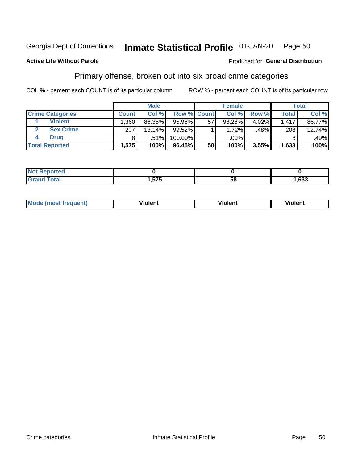#### **Inmate Statistical Profile 01-JAN-20** Page 50

### **Active Life Without Parole**

#### Produced for General Distribution

## Primary offense, broken out into six broad crime categories

COL % - percent each COUNT is of its particular column

|                         |              | <b>Male</b> |                    |    | <b>Female</b> |       |              | Total  |
|-------------------------|--------------|-------------|--------------------|----|---------------|-------|--------------|--------|
| <b>Crime Categories</b> | <b>Count</b> | Col %       | <b>Row % Count</b> |    | Col %         | Row % | <b>Total</b> | Col %  |
| <b>Violent</b>          | .360         | 86.35%      | 95.98%             | 57 | 98.28%        | 4.02% | 1,417        | 86.77% |
| <b>Sex Crime</b>        | 207          | 13.14%      | $99.52\%$          |    | 1.72%         | .48%  | 208          | 12.74% |
| <b>Drug</b>             | 8            | .51%        | 100.00%            |    | .00%          |       |              | .49%   |
| <b>Total Reported</b>   | 1,575        | 100%        | 96.45%             | 58 | 100%          | 3.55% | 1,633        | 100%   |

| _____ | ETE<br>. . | E O<br>. .<br>Ju | .633 |
|-------|------------|------------------|------|

| <b>Mode</b><br>วนent)<br>mos | .<br>/iolent | olent | <br>วlent |
|------------------------------|--------------|-------|-----------|
|                              |              |       |           |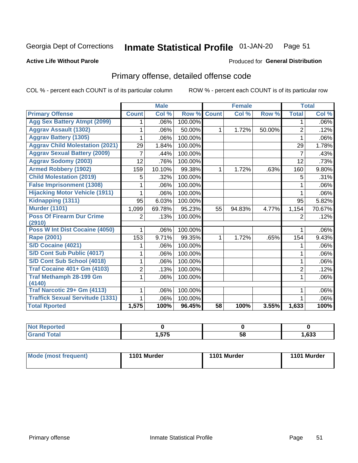#### Inmate Statistical Profile 01-JAN-20 Page 51

#### **Active Life Without Parole**

#### Produced for General Distribution

## Primary offense, detailed offense code

COL % - percent each COUNT is of its particular column

|                                            |              | <b>Male</b> |         |                 | <b>Female</b> |        |                | <b>Total</b> |
|--------------------------------------------|--------------|-------------|---------|-----------------|---------------|--------|----------------|--------------|
| <b>Primary Offense</b>                     | <b>Count</b> | Col %       | Row %   | <b>Count</b>    | Col %         | Row %  | <b>Total</b>   | Col %        |
| <b>Agg Sex Battery Atmpt (2099)</b>        | 1            | .06%        | 100.00% |                 |               |        | 1              | $.06\%$      |
| <b>Aggrav Assault (1302)</b>               |              | .06%        | 50.00%  | 1.              | 1.72%         | 50.00% | $\overline{2}$ | .12%         |
| <b>Aggrav Battery (1305)</b>               |              | .06%        | 100.00% |                 |               |        | 1              | $.06\%$      |
| <b>Aggrav Child Molestation (2021)</b>     | 29           | 1.84%       | 100.00% |                 |               |        | 29             | 1.78%        |
| <b>Aggrav Sexual Battery (2009)</b>        | 7            | .44%        | 100.00% |                 |               |        | $\overline{7}$ | .43%         |
| <b>Aggrav Sodomy (2003)</b>                | 12           | .76%        | 100.00% |                 |               |        | 12             | .73%         |
| <b>Armed Robbery (1902)</b>                | 159          | 10.10%      | 99.38%  | 1               | 1.72%         | .63%   | 160            | 9.80%        |
| <b>Child Molestation (2019)</b>            | 5            | .32%        | 100.00% |                 |               |        | 5              | .31%         |
| <b>False Imprisonment (1308)</b>           | 1            | .06%        | 100.00% |                 |               |        |                | $.06\%$      |
| <b>Hijacking Motor Vehicle (1911)</b>      | 1            | .06%        | 100.00% |                 |               |        | 1              | .06%         |
| Kidnapping (1311)                          | 95           | 6.03%       | 100.00% |                 |               |        | 95             | 5.82%        |
| <b>Murder (1101)</b>                       | 1,099        | 69.78%      | 95.23%  | 55              | 94.83%        | 4.77%  | 1,154          | 70.67%       |
| <b>Poss Of Firearm Dur Crime</b><br>(2910) | 2            | .13%        | 100.00% |                 |               |        | $\overline{2}$ | .12%         |
| Poss W Int Dist Cocaine (4050)             |              | .06%        | 100.00% |                 |               |        |                | .06%         |
| <b>Rape (2001)</b>                         | 153          | 9.71%       | 99.35%  | $\mathbf{1}$    | 1.72%         | .65%   | 154            | 9.43%        |
| <b>S/D Cocaine (4021)</b>                  |              | .06%        | 100.00% |                 |               |        |                | $.06\%$      |
| S/D Cont Sub Public (4017)                 | 1            | .06%        | 100.00% |                 |               |        | 1              | $.06\%$      |
| S/D Cont Sub School (4018)                 | 1            | .06%        | 100.00% |                 |               |        | 1              | $.06\%$      |
| <b>Traf Cocaine 401+ Gm (4103)</b>         | 2            | .13%        | 100.00% |                 |               |        | $\overline{2}$ | .12%         |
| <b>Traf Methamph 28-199 Gm</b><br>(4140)   | 1            | .06%        | 100.00% |                 |               |        | 1              | .06%         |
| Traf Narcotic 29+ Gm (4113)                | 1            | .06%        | 100.00% |                 |               |        | 1              | $.06\%$      |
| <b>Traffick Sexual Servitude (1331)</b>    |              | .06%        | 100.00% |                 |               |        |                | $.06\%$      |
| <b>Total Rported</b>                       | 1,575        | 100%        | 96.45%  | $\overline{58}$ | 100%          | 3.55%  | 1,633          | 100%         |

| Reported<br><b>NOT</b> |     |    |      |
|------------------------|-----|----|------|
| <b>Total</b>           | 長支長 | 58 | ,633 |

| Mode (most frequent) | 1101 Murder | 1101 Murder | 1101 Murder |
|----------------------|-------------|-------------|-------------|
|----------------------|-------------|-------------|-------------|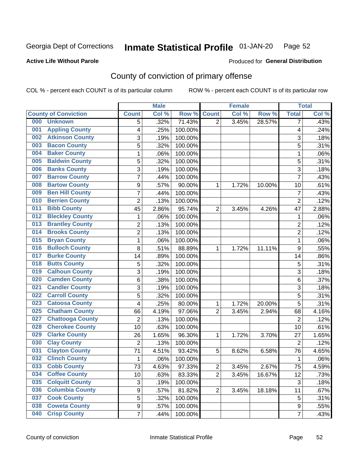#### Inmate Statistical Profile 01-JAN-20 Page 52

### **Active Life Without Parole**

### Produced for General Distribution

## County of conviction of primary offense

COL % - percent each COUNT is of its particular column

|                                |                  | <b>Male</b> |         |                         | <b>Female</b> |        |                         | <b>Total</b> |
|--------------------------------|------------------|-------------|---------|-------------------------|---------------|--------|-------------------------|--------------|
| <b>County of Conviction</b>    | <b>Count</b>     | Col %       | Row %   | <b>Count</b>            | Col %         | Row %  | <b>Total</b>            | Col %        |
| 000<br><b>Unknown</b>          | 5                | .32%        | 71.43%  | $\overline{2}$          | 3.45%         | 28.57% | $\overline{7}$          | .43%         |
| <b>Appling County</b><br>001   | 4                | .25%        | 100.00% |                         |               |        | $\overline{\mathbf{4}}$ | .24%         |
| <b>Atkinson County</b><br>002  | 3                | .19%        | 100.00% |                         |               |        | 3                       | .18%         |
| <b>Bacon County</b><br>003     | 5                | .32%        | 100.00% |                         |               |        | 5                       | .31%         |
| <b>Baker County</b><br>004     | 1                | .06%        | 100.00% |                         |               |        | 1                       | .06%         |
| <b>Baldwin County</b><br>005   | $\overline{5}$   | .32%        | 100.00% |                         |               |        | 5                       | .31%         |
| <b>Banks County</b><br>006     | 3                | .19%        | 100.00% |                         |               |        | $\overline{3}$          | .18%         |
| <b>Barrow County</b><br>007    | $\overline{7}$   | .44%        | 100.00% |                         |               |        | $\overline{7}$          | .43%         |
| <b>Bartow County</b><br>008    | 9                | .57%        | 90.00%  | 1                       | 1.72%         | 10.00% | 10                      | .61%         |
| <b>Ben Hill County</b><br>009  | $\overline{7}$   | .44%        | 100.00% |                         |               |        | $\overline{7}$          | .43%         |
| <b>Berrien County</b><br>010   | $\overline{2}$   | .13%        | 100.00% |                         |               |        | $\overline{2}$          | .12%         |
| <b>Bibb County</b><br>011      | 45               | 2.86%       | 95.74%  | $\overline{2}$          | 3.45%         | 4.26%  | 47                      | 2.88%        |
| <b>Bleckley County</b><br>012  | 1                | .06%        | 100.00% |                         |               |        | 1                       | .06%         |
| <b>Brantley County</b><br>013  | $\overline{c}$   | .13%        | 100.00% |                         |               |        | $\overline{2}$          | .12%         |
| <b>Brooks County</b><br>014    | $\overline{2}$   | .13%        | 100.00% |                         |               |        | $\overline{2}$          | .12%         |
| <b>Bryan County</b><br>015     | 1                | .06%        | 100.00% |                         |               |        | 1                       | .06%         |
| <b>Bulloch County</b><br>016   | 8                | .51%        | 88.89%  | 1                       | 1.72%         | 11.11% | 9                       | .55%         |
| <b>Burke County</b><br>017     | 14               | .89%        | 100.00% |                         |               |        | 14                      | .86%         |
| <b>Butts County</b><br>018     | 5                | .32%        | 100.00% |                         |               |        | $\overline{5}$          | .31%         |
| <b>Calhoun County</b><br>019   | 3                | .19%        | 100.00% |                         |               |        | $\sqrt{3}$              | .18%         |
| <b>Camden County</b><br>020    | 6                | .38%        | 100.00% |                         |               |        | 6                       | .37%         |
| <b>Candler County</b><br>021   | 3                | .19%        | 100.00% |                         |               |        | 3                       | .18%         |
| <b>Carroll County</b><br>022   | $\overline{5}$   | .32%        | 100.00% |                         |               |        | $\overline{5}$          | .31%         |
| <b>Catoosa County</b><br>023   | $\overline{4}$   | .25%        | 80.00%  | 1                       | 1.72%         | 20.00% | 5                       | .31%         |
| <b>Chatham County</b><br>025   | 66               | 4.19%       | 97.06%  | $\overline{2}$          | 3.45%         | 2.94%  | 68                      | 4.16%        |
| <b>Chattooga County</b><br>027 | $\overline{2}$   | .13%        | 100.00% |                         |               |        | $\overline{2}$          | .12%         |
| <b>Cherokee County</b><br>028  | 10               | .63%        | 100.00% |                         |               |        | 10                      | .61%         |
| <b>Clarke County</b><br>029    | 26               | 1.65%       | 96.30%  | 1                       | 1.72%         | 3.70%  | 27                      | 1.65%        |
| <b>Clay County</b><br>030      | $\overline{2}$   | .13%        | 100.00% |                         |               |        | $\overline{2}$          | .12%         |
| <b>Clayton County</b><br>031   | 71               | 4.51%       | 93.42%  | 5                       | 8.62%         | 6.58%  | 76                      | 4.65%        |
| <b>Clinch County</b><br>032    | 1                | .06%        | 100.00% |                         |               |        | 1                       | .06%         |
| 033<br><b>Cobb County</b>      | 73               | 4.63%       | 97.33%  | $\overline{\mathbf{c}}$ | 3.45%         | 2.67%  | 75                      | 4.59%        |
| <b>Coffee County</b><br>034    | 10               | .63%        | 83.33%  | $\overline{2}$          | 3.45%         | 16.67% | 12                      | .73%         |
| <b>Colquitt County</b><br>035  | 3                | .19%        | 100.00% |                         |               |        | 3                       | .18%         |
| <b>Columbia County</b><br>036  | $\boldsymbol{9}$ | .57%        | 81.82%  | $\overline{2}$          | 3.45%         | 18.18% | 11                      | .67%         |
| <b>Cook County</b><br>037      | 5                | .32%        | 100.00% |                         |               |        | 5                       | .31%         |
| <b>Coweta County</b><br>038    | 9                | .57%        | 100.00% |                         |               |        | 9                       | .55%         |
| <b>Crisp County</b><br>040     | $\overline{7}$   | .44%        | 100.00% |                         |               |        | $\overline{7}$          | .43%         |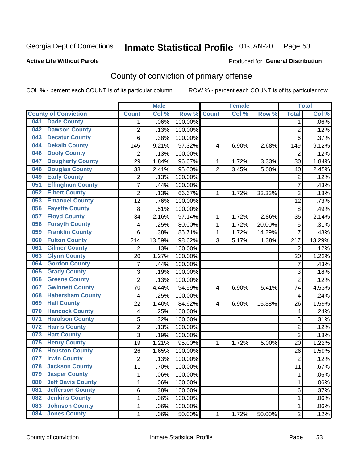#### Inmate Statistical Profile 01-JAN-20 Page 53

#### **Active Life Without Parole**

### Produced for General Distribution

## County of conviction of primary offense

COL % - percent each COUNT is of its particular column

|     |                             |                         | <b>Male</b> |         |                | <b>Female</b> |           |                          | <b>Total</b> |
|-----|-----------------------------|-------------------------|-------------|---------|----------------|---------------|-----------|--------------------------|--------------|
|     | <b>County of Conviction</b> | <b>Count</b>            | Col %       | Row %   | <b>Count</b>   | Col %         | Row %     | <b>Total</b>             | Col %        |
| 041 | <b>Dade County</b>          | 1                       | .06%        | 100.00% |                |               |           | 1                        | .06%         |
| 042 | <b>Dawson County</b>        | 2                       | .13%        | 100.00% |                |               |           | $\overline{2}$           | .12%         |
| 043 | <b>Decatur County</b>       | $\overline{6}$          | .38%        | 100.00% |                |               |           | $6\phantom{1}$           | .37%         |
| 044 | <b>Dekalb County</b>        | 145                     | 9.21%       | 97.32%  | 4              | 6.90%         | 2.68%     | 149                      | 9.12%        |
| 046 | <b>Dooly County</b>         | $\overline{2}$          | .13%        | 100.00% |                |               |           | $\overline{2}$           | .12%         |
| 047 | <b>Dougherty County</b>     | 29                      | 1.84%       | 96.67%  | $\mathbf{1}$   | 1.72%         | 3.33%     | 30                       | 1.84%        |
| 048 | <b>Douglas County</b>       | 38                      | 2.41%       | 95.00%  | $\overline{2}$ | 3.45%         | 5.00%     | 40                       | 2.45%        |
| 049 | <b>Early County</b>         | $\overline{2}$          | .13%        | 100.00% |                |               |           | $\overline{2}$           | .12%         |
| 051 | <b>Effingham County</b>     | 7                       | .44%        | 100.00% |                |               |           | $\overline{7}$           | .43%         |
| 052 | <b>Elbert County</b>        | $\overline{2}$          | .13%        | 66.67%  | 1              | 1.72%         | 33.33%    | 3                        | .18%         |
| 053 | <b>Emanuel County</b>       | $\overline{12}$         | .76%        | 100.00% |                |               |           | 12                       | .73%         |
| 056 | <b>Fayette County</b>       | 8                       | .51%        | 100.00% |                |               |           | $\,8\,$                  | .49%         |
| 057 | <b>Floyd County</b>         | 34                      | 2.16%       | 97.14%  | $\mathbf{1}$   | 1.72%         | 2.86%     | 35                       | 2.14%        |
| 058 | <b>Forsyth County</b>       | 4                       | .25%        | 80.00%  | $\mathbf{1}$   | 1.72%         | 20.00%    | 5                        | .31%         |
| 059 | <b>Franklin County</b>      | $6\phantom{1}$          | .38%        | 85.71%  | 1              | 1.72%         | 14.29%    | $\overline{7}$           | .43%         |
| 060 | <b>Fulton County</b>        | 214                     | 13.59%      | 98.62%  | 3              | 5.17%         | 1.38%     | 217                      | 13.29%       |
| 061 | <b>Gilmer County</b>        | 2                       | .13%        | 100.00% |                |               |           | $\overline{2}$           | .12%         |
| 063 | <b>Glynn County</b>         | 20                      | 1.27%       | 100.00% |                |               |           | 20                       | 1.22%        |
| 064 | <b>Gordon County</b>        | $\overline{7}$          | .44%        | 100.00% |                |               |           | $\overline{7}$           | .43%         |
| 065 | <b>Grady County</b>         | $\overline{3}$          | .19%        | 100.00% |                |               |           | $\overline{3}$           | .18%         |
| 066 | <b>Greene County</b>        | $\overline{c}$          | .13%        | 100.00% |                |               |           | $\overline{2}$           | .12%         |
| 067 | <b>Gwinnett County</b>      | 70                      | 4.44%       | 94.59%  | 4              | 6.90%         | 5.41%     | 74                       | 4.53%        |
| 068 | <b>Habersham County</b>     | 4                       | .25%        | 100.00% |                |               |           | $\overline{4}$           | .24%         |
| 069 | <b>Hall County</b>          | 22                      | 1.40%       | 84.62%  | 4              | 6.90%         | 15.38%    | 26                       | 1.59%        |
| 070 | <b>Hancock County</b>       | $\overline{\mathbf{4}}$ | .25%        | 100.00% |                |               |           | $\overline{\mathcal{A}}$ | .24%         |
| 071 | <b>Haralson County</b>      | 5                       | .32%        | 100.00% |                |               |           | 5                        | .31%         |
| 072 | <b>Harris County</b>        | $\overline{2}$          | .13%        | 100.00% |                |               |           | $\overline{2}$           | .12%         |
| 073 | <b>Hart County</b>          | $\overline{3}$          | .19%        | 100.00% |                |               |           | $\overline{3}$           | .18%         |
| 075 | <b>Henry County</b>         | 19                      | 1.21%       | 95.00%  | 1              | 1.72%         | 5.00%     | 20                       | 1.22%        |
| 076 | <b>Houston County</b>       | 26                      | 1.65%       | 100.00% |                |               |           | 26                       | 1.59%        |
| 077 | <b>Irwin County</b>         | $\overline{2}$          | .13%        | 100.00% |                |               |           | $\overline{2}$           | .12%         |
| 078 | <b>Jackson County</b>       | 11                      | .70%        | 100.00% |                |               |           | 11                       | $.67\%$      |
| 079 | <b>Jasper County</b>        | 1                       | .06%        | 100.00% |                |               |           | $\mathbf 1$              | .06%         |
| 080 | <b>Jeff Davis County</b>    | 1                       | .06%        | 100.00% |                |               |           | 1                        | .06%         |
| 081 | <b>Jefferson County</b>     | 6                       | .38%        | 100.00% |                |               |           | 6                        | .37%         |
| 082 | <b>Jenkins County</b>       | 1                       | .06%        | 100.00% |                |               |           | 1                        | .06%         |
| 083 | <b>Johnson County</b>       | 1                       | .06%        | 100.00% |                |               |           | $\mathbf 1$              | .06%         |
| 084 | <b>Jones County</b>         | $\mathbf 1$             | .06%        | 50.00%  | 1              | 1.72%         | $50.00\%$ | $\overline{2}$           | .12%         |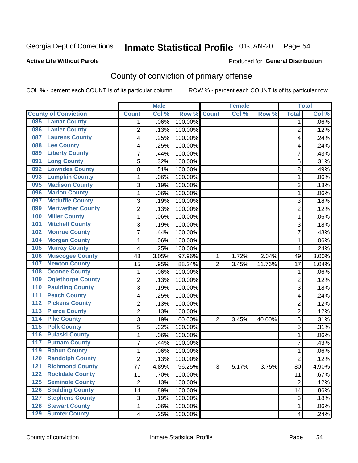#### Inmate Statistical Profile 01-JAN-20 Page 54

**Active Life Without Parole** 

**Produced for General Distribution** 

## County of conviction of primary offense

COL % - percent each COUNT is of its particular column

|                  |                             |                 | <b>Male</b> |         |                | <b>Female</b> |        |                 | <b>Total</b> |
|------------------|-----------------------------|-----------------|-------------|---------|----------------|---------------|--------|-----------------|--------------|
|                  | <b>County of Conviction</b> | <b>Count</b>    | Col %       | Row %   | <b>Count</b>   | Col %         | Row %  | <b>Total</b>    | Col %        |
| 085              | <b>Lamar County</b>         | 1               | .06%        | 100.00% |                |               |        | 1               | $.06\%$      |
| 086              | <b>Lanier County</b>        | $\overline{2}$  | .13%        | 100.00% |                |               |        | $\overline{2}$  | .12%         |
| 087              | <b>Laurens County</b>       | 4               | .25%        | 100.00% |                |               |        | 4               | .24%         |
| 088              | <b>Lee County</b>           | 4               | .25%        | 100.00% |                |               |        | 4               | .24%         |
| 089              | <b>Liberty County</b>       | 7               | .44%        | 100.00% |                |               |        | 7               | .43%         |
| 091              | <b>Long County</b>          | 5               | .32%        | 100.00% |                |               |        | 5               | .31%         |
| 092              | <b>Lowndes County</b>       | 8               | .51%        | 100.00% |                |               |        | 8               | .49%         |
| 093              | <b>Lumpkin County</b>       | 1               | .06%        | 100.00% |                |               |        | 1               | .06%         |
| 095              | <b>Madison County</b>       | 3               | .19%        | 100.00% |                |               |        | 3               | .18%         |
| 096              | <b>Marion County</b>        | 1               | .06%        | 100.00% |                |               |        | 1               | .06%         |
| 097              | <b>Mcduffie County</b>      | 3               | .19%        | 100.00% |                |               |        | 3               | .18%         |
| 099              | <b>Meriwether County</b>    | $\overline{2}$  | .13%        | 100.00% |                |               |        | $\overline{2}$  | .12%         |
| 100              | <b>Miller County</b>        | 1               | .06%        | 100.00% |                |               |        | 1               | .06%         |
| 101              | <b>Mitchell County</b>      | 3               | .19%        | 100.00% |                |               |        | 3               | .18%         |
| 102              | <b>Monroe County</b>        | 7               | .44%        | 100.00% |                |               |        | $\overline{7}$  | .43%         |
| 104              | <b>Morgan County</b>        | 1               | .06%        | 100.00% |                |               |        | 1               | .06%         |
| 105              | <b>Murray County</b>        | 4               | .25%        | 100.00% |                |               |        | 4               | .24%         |
| 106              | <b>Muscogee County</b>      | 48              | 3.05%       | 97.96%  | 1              | 1.72%         | 2.04%  | 49              | 3.00%        |
| 107              | <b>Newton County</b>        | 15              | .95%        | 88.24%  | $\overline{2}$ | 3.45%         | 11.76% | 17              | 1.04%        |
| 108              | <b>Oconee County</b>        | 1               | .06%        | 100.00% |                |               |        | 1               | .06%         |
| 109              | <b>Oglethorpe County</b>    | 2               | .13%        | 100.00% |                |               |        | 2               | .12%         |
| 110              | <b>Paulding County</b>      | 3               | .19%        | 100.00% |                |               |        | 3               | .18%         |
| 111              | <b>Peach County</b>         | 4               | .25%        | 100.00% |                |               |        | 4               | .24%         |
| 112              | <b>Pickens County</b>       | $\overline{2}$  | .13%        | 100.00% |                |               |        | $\overline{2}$  | .12%         |
| 113              | <b>Pierce County</b>        | 2               | .13%        | 100.00% |                |               |        | 2               | .12%         |
| $\overline{114}$ | <b>Pike County</b>          | 3               | .19%        | 60.00%  | $\overline{2}$ | 3.45%         | 40.00% | 5               | .31%         |
| $\overline{115}$ | <b>Polk County</b>          | 5               | .32%        | 100.00% |                |               |        | 5               | .31%         |
| 116              | <b>Pulaski County</b>       | 1               | .06%        | 100.00% |                |               |        | $\mathbf{1}$    | .06%         |
| 117              | <b>Putnam County</b>        | 7               | .44%        | 100.00% |                |               |        | 7               | .43%         |
| 119              | <b>Rabun County</b>         | 1               | .06%        | 100.00% |                |               |        | 1               | .06%         |
| 120              | <b>Randolph County</b>      | 2               | .13%        | 100.00% |                |               |        | 2               | .12%         |
|                  | <b>121 Richmond County</b>  | $\overline{77}$ | 4.89%       | 96.25%  | 3              | 5.17%         | 3.75%  | $\overline{80}$ | 4.90%        |
| 122              | <b>Rockdale County</b>      | 11              | .70%        | 100.00% |                |               |        | 11              | .67%         |
| $125$            | <b>Seminole County</b>      | $\overline{2}$  | .13%        | 100.00% |                |               |        | $\overline{2}$  | .12%         |
| 126              | <b>Spalding County</b>      | 14              | .89%        | 100.00% |                |               |        | 14              | .86%         |
| 127              | <b>Stephens County</b>      | 3               | .19%        | 100.00% |                |               |        | 3               | .18%         |
| 128              | <b>Stewart County</b>       | 1               | .06%        | 100.00% |                |               |        | 1               | .06%         |
| 129              | <b>Sumter County</b>        | 4               | .25%        | 100.00% |                |               |        | 4               | .24%         |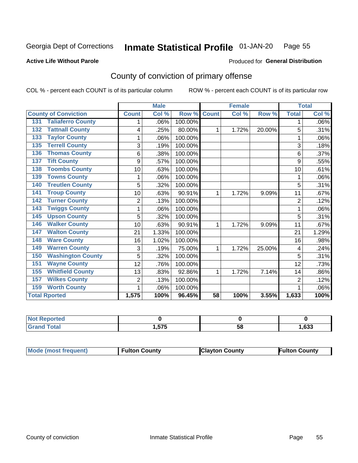#### Inmate Statistical Profile 01-JAN-20 Page 55

**Active Life Without Parole** 

### Produced for General Distribution

## County of conviction of primary offense

COL % - percent each COUNT is of its particular column

|                                 |                | <b>Male</b> |         |                 | <b>Female</b> |        |                | <b>Total</b> |
|---------------------------------|----------------|-------------|---------|-----------------|---------------|--------|----------------|--------------|
| <b>County of Conviction</b>     | <b>Count</b>   | Col %       | Row %   | <b>Count</b>    | Col %         | Row %  | <b>Total</b>   | Col %        |
| <b>Taliaferro County</b><br>131 |                | .06%        | 100.00% |                 |               |        | 1              | .06%         |
| <b>Tattnall County</b><br>132   | 4              | .25%        | 80.00%  | 1               | 1.72%         | 20.00% | 5              | .31%         |
| <b>Taylor County</b><br>133     |                | .06%        | 100.00% |                 |               |        |                | .06%         |
| <b>Terrell County</b><br>135    | 3              | .19%        | 100.00% |                 |               |        | 3              | .18%         |
| <b>Thomas County</b><br>136     | 6              | .38%        | 100.00% |                 |               |        | 6              | .37%         |
| <b>Tift County</b><br>137       | 9              | .57%        | 100.00% |                 |               |        | 9              | .55%         |
| <b>Toombs County</b><br>138     | 10             | .63%        | 100.00% |                 |               |        | 10             | .61%         |
| <b>Towns County</b><br>139      |                | .06%        | 100.00% |                 |               |        |                | .06%         |
| <b>Treutlen County</b><br>140   | 5              | .32%        | 100.00% |                 |               |        | 5              | .31%         |
| <b>Troup County</b><br>141      | 10             | .63%        | 90.91%  | 1               | 1.72%         | 9.09%  | 11             | .67%         |
| <b>Turner County</b><br>142     | 2              | .13%        | 100.00% |                 |               |        | $\overline{2}$ | .12%         |
| <b>Twiggs County</b><br>143     |                | .06%        | 100.00% |                 |               |        | 1              | .06%         |
| <b>Upson County</b><br>145      | 5              | .32%        | 100.00% |                 |               |        | 5              | .31%         |
| <b>Walker County</b><br>146     | 10             | .63%        | 90.91%  | 1               | 1.72%         | 9.09%  | 11             | .67%         |
| <b>Walton County</b><br>147     | 21             | 1.33%       | 100.00% |                 |               |        | 21             | 1.29%        |
| <b>Ware County</b><br>148       | 16             | 1.02%       | 100.00% |                 |               |        | 16             | .98%         |
| <b>Warren County</b><br>149     | 3              | .19%        | 75.00%  | 1               | 1.72%         | 25.00% | 4              | .24%         |
| <b>Washington County</b><br>150 | 5              | .32%        | 100.00% |                 |               |        | 5              | .31%         |
| <b>Wayne County</b><br>151      | 12             | .76%        | 100.00% |                 |               |        | 12             | .73%         |
| <b>Whitfield County</b><br>155  | 13             | .83%        | 92.86%  | 1               | 1.72%         | 7.14%  | 14             | .86%         |
| <b>Wilkes County</b><br>157     | $\overline{c}$ | .13%        | 100.00% |                 |               |        | $\overline{2}$ | .12%         |
| <b>Worth County</b><br>159      | 1              | .06%        | 100.00% |                 |               |        |                | .06%         |
| <b>Total Rported</b>            | 1,575          | 100%        | 96.45%  | $\overline{58}$ | 100%          | 3.55%  | 1,633          | 100%         |

| <b>Not Reported</b> |                 |    |      |
|---------------------|-----------------|----|------|
| T <sub>ofol</sub>   | <b>676</b><br>. | ວດ | ,633 |

| <b>Mode (most frequent)</b> | <b>Fulton County</b> | <b>IClayton County</b> | Fulton Countv |
|-----------------------------|----------------------|------------------------|---------------|
|-----------------------------|----------------------|------------------------|---------------|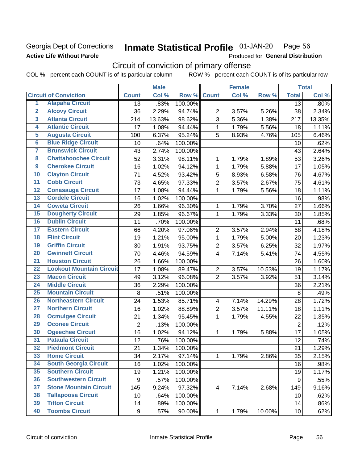### **Georgia Dept of Corrections Active Life Without Parole**

#### Inmate Statistical Profile 01-JAN-20 Page 56

Produced for General Distribution

## Circuit of conviction of primary offense

|                         |                                 |                  | <b>Male</b> |         |                         | <b>Female</b> |        |                | <b>Total</b> |
|-------------------------|---------------------------------|------------------|-------------|---------|-------------------------|---------------|--------|----------------|--------------|
|                         | <b>Circuit of Conviction</b>    | <b>Count</b>     | Col %       | Row %   | <b>Count</b>            | Col %         | Row %  | <b>Total</b>   | Col %        |
| 1                       | <b>Alapaha Circuit</b>          | 13               | .83%        | 100.00% |                         |               |        | 13             | .80%         |
| $\overline{2}$          | <b>Alcovy Circuit</b>           | 36               | 2.29%       | 94.74%  | $\overline{2}$          | 3.57%         | 5.26%  | 38             | 2.34%        |
| $\overline{3}$          | <b>Atlanta Circuit</b>          | 214              | 13.63%      | 98.62%  | 3                       | 5.36%         | 1.38%  | 217            | 13.35%       |
| 4                       | <b>Atlantic Circuit</b>         | 17               | 1.08%       | 94.44%  | 1                       | 1.79%         | 5.56%  | 18             | 1.11%        |
| $\overline{5}$          | <b>Augusta Circuit</b>          | 100              | 6.37%       | 95.24%  | 5                       | 8.93%         | 4.76%  | 105            | 6.46%        |
| $\overline{\bf{6}}$     | <b>Blue Ridge Circuit</b>       | 10               | .64%        | 100.00% |                         |               |        | 10             | .62%         |
| 7                       | <b>Brunswick Circuit</b>        | 43               | 2.74%       | 100.00% |                         |               |        | 43             | 2.64%        |
| $\overline{\mathbf{8}}$ | <b>Chattahoochee Circuit</b>    | 52               | 3.31%       | 98.11%  | 1                       | 1.79%         | 1.89%  | 53             | 3.26%        |
| $\overline{9}$          | <b>Cherokee Circuit</b>         | 16               | 1.02%       | 94.12%  | $\mathbf{1}$            | 1.79%         | 5.88%  | 17             | 1.05%        |
| 10                      | <b>Clayton Circuit</b>          | 71               | 4.52%       | 93.42%  | 5                       | 8.93%         | 6.58%  | 76             | 4.67%        |
| $\overline{11}$         | <b>Cobb Circuit</b>             | 73               | 4.65%       | 97.33%  | $\overline{2}$          | 3.57%         | 2.67%  | 75             | 4.61%        |
| $\overline{12}$         | <b>Conasauga Circuit</b>        | 17               | 1.08%       | 94.44%  | 1                       | 1.79%         | 5.56%  | 18             | 1.11%        |
| 13                      | <b>Cordele Circuit</b>          | 16               | 1.02%       | 100.00% |                         |               |        | 16             | .98%         |
| 14                      | <b>Coweta Circuit</b>           | 26               | 1.66%       | 96.30%  | 1                       | 1.79%         | 3.70%  | 27             | 1.66%        |
| 15                      | <b>Dougherty Circuit</b>        | 29               | 1.85%       | 96.67%  | $\mathbf{1}$            | 1.79%         | 3.33%  | 30             | 1.85%        |
| 16                      | <b>Dublin Circuit</b>           | 11               | .70%        | 100.00% |                         |               |        | 11             | .68%         |
| 17                      | <b>Eastern Circuit</b>          | 66               | 4.20%       | 97.06%  | $\overline{2}$          | 3.57%         | 2.94%  | 68             | 4.18%        |
| $\overline{18}$         | <b>Flint Circuit</b>            | 19               | 1.21%       | 95.00%  | 1                       | 1.79%         | 5.00%  | 20             | 1.23%        |
| 19                      | <b>Griffin Circuit</b>          | 30               | 1.91%       | 93.75%  | $\mathbf 2$             | 3.57%         | 6.25%  | 32             | 1.97%        |
| $\overline{20}$         | <b>Gwinnett Circuit</b>         | 70               | 4.46%       | 94.59%  | 4                       | 7.14%         | 5.41%  | 74             | 4.55%        |
| $\overline{21}$         | <b>Houston Circuit</b>          | 26               | 1.66%       | 100.00% |                         |               |        | 26             | 1.60%        |
| $\overline{22}$         | <b>Lookout Mountain Circuit</b> | 17               | 1.08%       | 89.47%  | $\overline{2}$          | 3.57%         | 10.53% | 19             | 1.17%        |
| 23                      | <b>Macon Circuit</b>            | 49               | 3.12%       | 96.08%  | $\overline{2}$          | 3.57%         | 3.92%  | 51             | 3.14%        |
| $\overline{24}$         | <b>Middle Circuit</b>           | 36               | 2.29%       | 100.00% |                         |               |        | 36             | 2.21%        |
| $\overline{25}$         | <b>Mountain Circuit</b>         | 8                | .51%        | 100.00% |                         |               |        | $\,8\,$        | .49%         |
| 26                      | <b>Northeastern Circuit</b>     | 24               | 1.53%       | 85.71%  | $\overline{\mathbf{4}}$ | 7.14%         | 14.29% | 28             | 1.72%        |
| $\overline{27}$         | <b>Northern Circuit</b>         | 16               | 1.02%       | 88.89%  | $\overline{2}$          | 3.57%         | 11.11% | 18             | 1.11%        |
| 28                      | <b>Ocmulgee Circuit</b>         | 21               | 1.34%       | 95.45%  | 1                       | 1.79%         | 4.55%  | 22             | 1.35%        |
| 29                      | <b>Oconee Circuit</b>           | $\overline{2}$   | .13%        | 100.00% |                         |               |        | $\overline{2}$ | .12%         |
| 30                      | <b>Ogeechee Circuit</b>         | 16               | 1.02%       | 94.12%  | 1                       | 1.79%         | 5.88%  | 17             | 1.05%        |
| $\overline{31}$         | <b>Pataula Circuit</b>          | 12               | .76%        | 100.00% |                         |               |        | 12             | .74%         |
| 32                      | <b>Piedmont Circuit</b>         | 21               | 1.34%       | 100.00% |                         |               |        | 21             | 1.29%        |
| 33                      | <b>Rome Circuit</b>             | 34               | 2.17%       | 97.14%  | $\mathbf{1}$            | 1.79%         | 2.86%  | 35             | 2.15%        |
| 34                      | <b>South Georgia Circuit</b>    | 16               | 1.02%       | 100.00% |                         |               |        | 16             | .98%         |
| 35                      | <b>Southern Circuit</b>         | 19               | 1.21%       | 100.00% |                         |               |        | 19             | 1.17%        |
| 36                      | <b>Southwestern Circuit</b>     | 9                | .57%        | 100.00% |                         |               |        | 9              | .55%         |
| 37                      | <b>Stone Mountain Circuit</b>   | 145              | 9.24%       | 97.32%  | $\overline{\mathbf{4}}$ | 7.14%         | 2.68%  | 149            | 9.16%        |
| 38                      | <b>Tallapoosa Circuit</b>       | 10               | .64%        | 100.00% |                         |               |        | 10             | .62%         |
| 39                      | <b>Tifton Circuit</b>           | 14               | .89%        | 100.00% |                         |               |        | 14             | .86%         |
| 40                      | <b>Toombs Circuit</b>           | $\boldsymbol{9}$ | .57%        | 90.00%  | 1                       | 1.79%         | 10.00% | 10             | .62%         |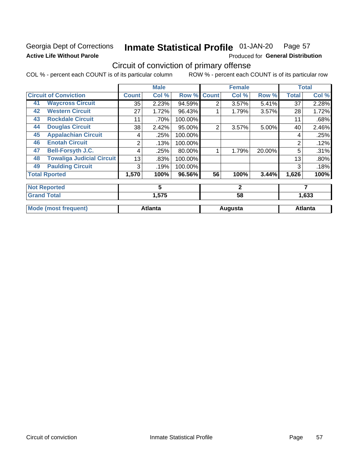### **Georgia Dept of Corrections Active Life Without Parole**

#### Inmate Statistical Profile 01-JAN-20 Page 57

Produced for General Distribution

## Circuit of conviction of primary offense

|    |                                  |              | <b>Male</b>    |         |              | <b>Female</b> |        |                | <b>Total</b>   |
|----|----------------------------------|--------------|----------------|---------|--------------|---------------|--------|----------------|----------------|
|    | <b>Circuit of Conviction</b>     | <b>Count</b> | Col %          | Row %   | <b>Count</b> | Col %         | Row %  | <b>Total</b>   | Col %          |
| 41 | <b>Waycross Circuit</b>          | 35           | 2.23%          | 94.59%  | 2            | 3.57%         | 5.41%  | 37             | 2.28%          |
| 42 | <b>Western Circuit</b>           | 27           | 1.72%          | 96.43%  |              | 1.79%         | 3.57%  | 28             | 1.72%          |
| 43 | <b>Rockdale Circuit</b>          | 11           | .70%           | 100.00% |              |               |        | 11             | .68%           |
| 44 | <b>Douglas Circuit</b>           | 38           | 2.42%          | 95.00%  | 2            | 3.57%         | 5.00%  | 40             | 2.46%          |
| 45 | <b>Appalachian Circuit</b>       | 4            | .25%           | 100.00% |              |               |        | 4              | .25%           |
| 46 | <b>Enotah Circuit</b>            | 2            | .13%           | 100.00% |              |               |        | $\overline{2}$ | .12%           |
| 47 | <b>Bell-Forsyth J.C.</b>         | 4            | .25%           | 80.00%  |              | 1.79%         | 20.00% | 5              | .31%           |
| 48 | <b>Towaliga Judicial Circuit</b> | 13           | .83%           | 100.00% |              |               |        | 13             | .80%           |
| 49 | <b>Paulding Circuit</b>          | 3            | .19%           | 100.00% |              |               |        | 3              | .18%           |
|    | <b>Total Rported</b>             | 1,570        | 100%           | 96.56%  | 56           | 100%          | 3.44%  | 1,626          | 100%           |
|    | <b>Not Reported</b>              |              | 5              |         |              | $\mathbf{2}$  |        |                | 7              |
|    | <b>Grand Total</b>               |              | 1,575          |         |              | 58            |        |                | 1,633          |
|    | <b>Mode (most frequent)</b>      |              | <b>Atlanta</b> |         |              | Augusta       |        |                | <b>Atlanta</b> |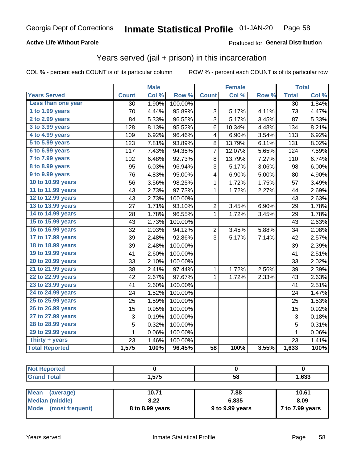### **Active Life Without Parole**

### Produced for General Distribution

## Years served (jail + prison) in this incarceration

COL % - percent each COUNT is of its particular column

|                       |                 | <b>Male</b> |                  |                 | <b>Female</b> |       |                 | <b>Total</b> |
|-----------------------|-----------------|-------------|------------------|-----------------|---------------|-------|-----------------|--------------|
| <b>Years Served</b>   | <b>Count</b>    | Col %       | Row <sup>%</sup> | <b>Count</b>    | Col %         | Row % | <b>Total</b>    | Col %        |
| Less than one year    | $\overline{30}$ | 1.90%       | 100.00%          |                 |               |       | $\overline{30}$ | 1.84%        |
| 1 to 1.99 years       | 70              | 4.44%       | 95.89%           | 3               | 5.17%         | 4.11% | 73              | 4.47%        |
| 2 to 2.99 years       | 84              | 5.33%       | 96.55%           | 3               | 5.17%         | 3.45% | 87              | 5.33%        |
| 3 to 3.99 years       | 128             | 8.13%       | 95.52%           | 6               | 10.34%        | 4.48% | 134             | 8.21%        |
| 4 to 4.99 years       | 109             | 6.92%       | 96.46%           | 4               | 6.90%         | 3.54% | 113             | 6.92%        |
| 5 to 5.99 years       | 123             | 7.81%       | 93.89%           | 8               | 13.79%        | 6.11% | 131             | 8.02%        |
| 6 to 6.99 years       | 117             | 7.43%       | 94.35%           | 7               | 12.07%        | 5.65% | 124             | 7.59%        |
| 7 to 7.99 years       | 102             | 6.48%       | 92.73%           | 8               | 13.79%        | 7.27% | 110             | 6.74%        |
| 8 to 8.99 years       | 95              | 6.03%       | 96.94%           | 3               | 5.17%         | 3.06% | 98              | 6.00%        |
| 9 to 9.99 years       | 76              | 4.83%       | 95.00%           | 4               | 6.90%         | 5.00% | 80              | 4.90%        |
| 10 to 10.99 years     | 56              | 3.56%       | 98.25%           | 1               | 1.72%         | 1.75% | 57              | 3.49%        |
| 11 to 11.99 years     | 43              | 2.73%       | 97.73%           | 1               | 1.72%         | 2.27% | 44              | 2.69%        |
| 12 to 12.99 years     | 43              | 2.73%       | 100.00%          |                 |               |       | 43              | 2.63%        |
| 13 to 13.99 years     | 27              | 1.71%       | 93.10%           | $\overline{c}$  | 3.45%         | 6.90% | 29              | 1.78%        |
| 14 to 14.99 years     | 28              | 1.78%       | 96.55%           | $\mathbf 1$     | 1.72%         | 3.45% | 29              | 1.78%        |
| 15 to 15.99 years     | 43              | 2.73%       | 100.00%          |                 |               |       | 43              | 2.63%        |
| 16 to 16.99 years     | 32              | 2.03%       | 94.12%           | 2               | 3.45%         | 5.88% | 34              | 2.08%        |
| 17 to 17.99 years     | 39              | 2.48%       | 92.86%           | 3               | 5.17%         | 7.14% | 42              | 2.57%        |
| 18 to 18.99 years     | 39              | 2.48%       | 100.00%          |                 |               |       | 39              | 2.39%        |
| 19 to 19.99 years     | 41              | 2.60%       | 100.00%          |                 |               |       | 41              | 2.51%        |
| 20 to 20.99 years     | 33              | 2.10%       | 100.00%          |                 |               |       | 33              | 2.02%        |
| 21 to 21.99 years     | 38              | 2.41%       | 97.44%           | 1               | 1.72%         | 2.56% | 39              | 2.39%        |
| 22 to 22.99 years     | 42              | 2.67%       | 97.67%           | 1               | 1.72%         | 2.33% | 43              | 2.63%        |
| 23 to 23.99 years     | 41              | 2.60%       | 100.00%          |                 |               |       | 41              | 2.51%        |
| 24 to 24.99 years     | 24              | 1.52%       | 100.00%          |                 |               |       | 24              | 1.47%        |
| 25 to 25.99 years     | 25              | 1.59%       | 100.00%          |                 |               |       | 25              | 1.53%        |
| 26 to 26.99 years     | 15              | 0.95%       | 100.00%          |                 |               |       | 15              | 0.92%        |
| 27 to 27.99 years     | 3               | 0.19%       | 100.00%          |                 |               |       | 3               | 0.18%        |
| 28 to 28.99 years     | 5               | 0.32%       | 100.00%          |                 |               |       | 5               | 0.31%        |
| 29 to 29.99 years     | $\mathbf 1$     | 0.06%       | 100.00%          |                 |               |       | $\mathbf{1}$    | 0.06%        |
| Thirty + years        | 23              | 1.46%       | 100.00%          |                 |               |       | 23              | 1.41%        |
| <b>Total Reported</b> | 1,575           | 100%        | 96.45%           | $\overline{58}$ | 100%          | 3.55% | 1,633           | 100%         |

| ---  | --- | -- | <b>C22</b> |
|------|-----|----|------------|
| ____ |     | vu | ככס.       |

| <b>Mean</b><br>(average) | 10.71           | 7.88            | 10.61           |
|--------------------------|-----------------|-----------------|-----------------|
| Median (middle)          | 8.22            | 6.835           | 8.09            |
| Mode (most frequent)     | 8 to 8.99 years | 9 to 9.99 years | 7 to 7.99 years |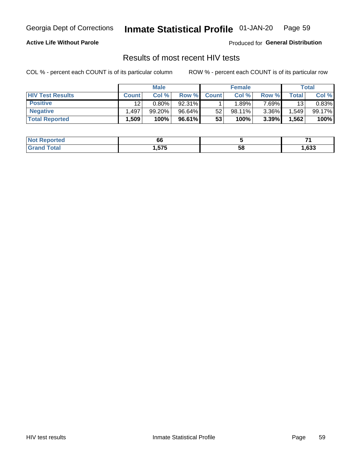#### Inmate Statistical Profile 01-JAN-20 Page 59

**Active Life Without Parole** 

Produced for General Distribution

## Results of most recent HIV tests

COL % - percent each COUNT is of its particular column

|                         |                   | <b>Male</b> |        |              | <b>Female</b> |          |       | Total  |
|-------------------------|-------------------|-------------|--------|--------------|---------------|----------|-------|--------|
| <b>HIV Test Results</b> | <b>Count</b>      | Col %       | Row %I | <b>Count</b> | Col %         | Row %    | Total | Col %  |
| <b>Positive</b>         | 12                | $0.80\%$    | 92.31% |              | .89%          | $7.69\%$ | 13    | 0.83%  |
| <b>Negative</b>         | .497              | 99.20%      | 96.64% | 52           | 98.11%        | $3.36\%$ | .549  | 99.17% |
| <b>Total Reported</b>   | .509 <sup>°</sup> | 100%        | 96.61% | 53           | 100%          | 3.39%    | .562  | 100%   |

| Not I<br><b>Reported</b> | 66   |    |      |
|--------------------------|------|----|------|
| 'otal<br>CT2             | .575 | 58 | ,633 |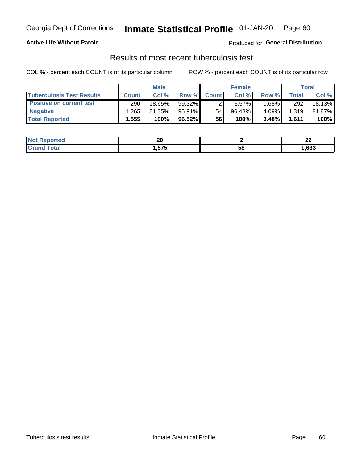## Georgia Dept of Corrections **Inmate Statistical Profile** 01-JAN-20 Page 60

### **Active Life Without Parole**

Produced for **General Distribution**

## Results of most recent tuberculosis test

|                                  |              | <b>Male</b> |           |              | <b>Female</b> |          |       | Total  |
|----------------------------------|--------------|-------------|-----------|--------------|---------------|----------|-------|--------|
| <b>Tuberculosis Test Results</b> | <b>Count</b> | Col%        | Row %     | <b>Count</b> | Col %         | Row %    | Total | Col %  |
| <b>Positive on current test</b>  | 290          | $18.65\%$   | 99.32%    |              | 3.57%         | $0.68\%$ | 292   | 18.13% |
| <b>Negative</b>                  | .265         | 81.35%      | $95.91\%$ | 54           | 96.43%        | $4.09\%$ | 1,319 | 81.87% |
| <b>Total Reported</b>            | √555.،       | 100%        | $96.52\%$ | 56           | 100%          | 3.48%    | 1,611 | 100%   |

| <b>Not Reported</b> | ״<br>Zu     |    | $\overline{\phantom{a}}$<br>-- |
|---------------------|-------------|----|--------------------------------|
| int<br><b>Grot</b>  | ---<br>.575 | 58 | ,633                           |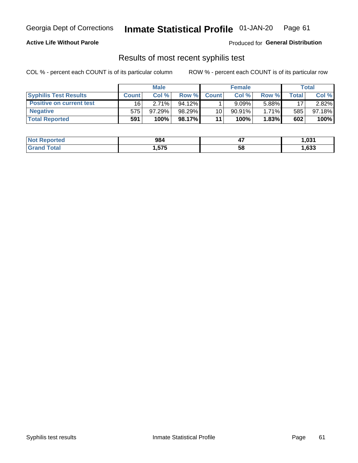## Georgia Dept of Corrections **Inmate Statistical Profile** 01-JAN-20 Page 61

### **Active Life Without Parole**

Produced for **General Distribution**

### Results of most recent syphilis test

|                                 |              | <b>Male</b> |           |              | <b>Female</b> |          |       | Total  |
|---------------------------------|--------------|-------------|-----------|--------------|---------------|----------|-------|--------|
| <b>Syphilis Test Results</b>    | <b>Count</b> | Col%        | Row %     | <b>Count</b> | Col%          | Row %    | Total | Col %  |
| <b>Positive on current test</b> | 16           | 2.71%       | $94.12\%$ |              | 9.09%         | 5.88%    | 17    | 2.82%  |
| <b>Negative</b>                 | 575          | $97.29\%$   | 98.29%    | 10           | $90.91\%$     | $1.71\%$ | 585   | 97.18% |
| <b>Total Reported</b>           | 591          | 100%        | 98.17%I   | 11           | 100%          | 1.83%    | 602   | 100%   |

| <b>Not Reported</b> | 984          | <br>- 1 | 031.ا |
|---------------------|--------------|---------|-------|
| <b>Grand Total</b>  | ---<br>l.575 | 58      | ,633  |